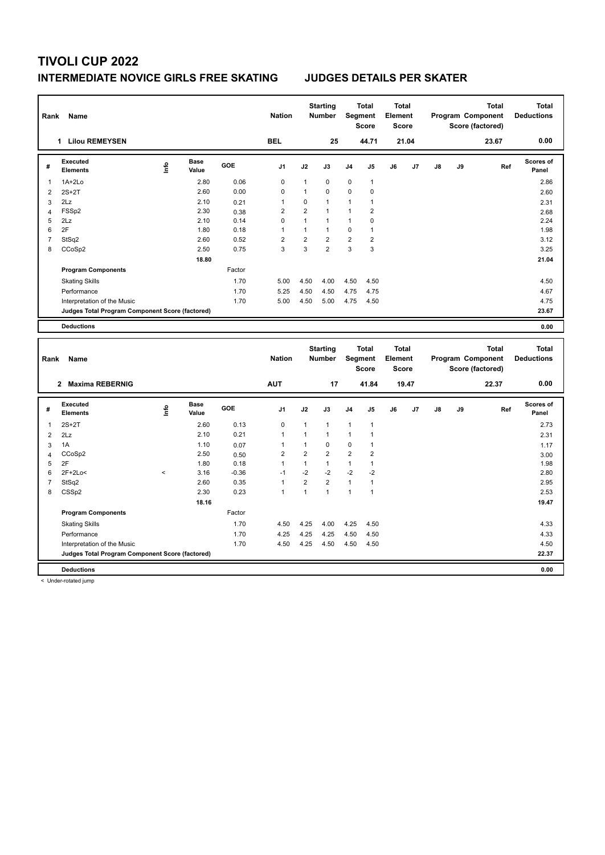## **INTERMEDIATE NOVICE GIRLS FREE SKATING JUDGES DETAILS PER SKATER**

| Rank                | Name                                            |                          |                      |              | <b>Nation</b>  |                                | <b>Starting</b><br><b>Number</b> |                     | <b>Total</b><br>Segment<br><b>Score</b> | <b>Total</b><br>Element<br><b>Score</b> |       |    | Program Component | <b>Total</b><br>Score (factored) |     | <b>Total</b><br><b>Deductions</b> |
|---------------------|-------------------------------------------------|--------------------------|----------------------|--------------|----------------|--------------------------------|----------------------------------|---------------------|-----------------------------------------|-----------------------------------------|-------|----|-------------------|----------------------------------|-----|-----------------------------------|
|                     | 1 Lilou REMEYSEN                                |                          |                      |              | <b>BEL</b>     |                                | 25                               |                     | 44.71                                   |                                         | 21.04 |    |                   | 23.67                            |     | 0.00                              |
| #                   | <b>Executed</b><br><b>Elements</b>              | lnfo                     | <b>Base</b><br>Value | GOE          | J1             | J2                             | J3                               | J4                  | J5                                      | J6                                      | J7    | J8 | J9                |                                  | Ref | Scores of<br>Panel                |
| $\mathbf{1}$        | $1A+2Lo$                                        |                          | 2.80                 | 0.06         | $\mathbf 0$    | $\mathbf{1}$                   | $\mathbf 0$                      | $\mathbf 0$         | $\mathbf{1}$                            |                                         |       |    |                   |                                  |     | 2.86                              |
| $\overline{2}$      | $2S+2T$                                         |                          | 2.60                 | 0.00         | 0              | $\mathbf{1}$                   | 0                                | 0                   | $\pmb{0}$                               |                                         |       |    |                   |                                  |     | 2.60                              |
| 3                   | 2Lz                                             |                          | 2.10                 | 0.21         | $\mathbf{1}$   | $\pmb{0}$                      | $\mathbf{1}$                     | $\mathbf{1}$        | $\mathbf{1}$                            |                                         |       |    |                   |                                  |     | 2.31                              |
| $\overline{4}$      | FSS <sub>p2</sub>                               |                          | 2.30                 | 0.38         | $\overline{2}$ | $\overline{2}$                 | $\mathbf{1}$                     | 1                   | $\overline{2}$                          |                                         |       |    |                   |                                  |     | 2.68                              |
| 5                   | 2Lz                                             |                          | 2.10                 | 0.14         | $\Omega$       | $\mathbf{1}$                   | $\mathbf{1}$                     | 1                   | $\mathbf 0$                             |                                         |       |    |                   |                                  |     | 2.24                              |
| 6                   | 2F                                              |                          | 1.80                 | 0.18         | $\mathbf{1}$   | $\mathbf{1}$                   | $\mathbf{1}$                     | 0                   | $\mathbf{1}$                            |                                         |       |    |                   |                                  |     | 1.98                              |
| $\overline{7}$      | StSq2                                           |                          | 2.60                 | 0.52         | $\overline{2}$ | $\overline{2}$                 | $\overline{2}$                   | $\overline{2}$      | $\overline{2}$                          |                                         |       |    |                   |                                  |     | 3.12                              |
| 8                   | CCoSp2                                          |                          | 2.50                 | 0.75         | 3              | 3                              | $\overline{2}$                   | 3                   | $\overline{3}$                          |                                         |       |    |                   |                                  |     | 3.25                              |
|                     |                                                 |                          | 18.80                |              |                |                                |                                  |                     |                                         |                                         |       |    |                   |                                  |     | 21.04                             |
|                     | <b>Program Components</b>                       |                          |                      | Factor       |                |                                |                                  |                     |                                         |                                         |       |    |                   |                                  |     |                                   |
|                     | <b>Skating Skills</b>                           |                          |                      | 1.70         | 5.00           | 4.50                           | 4.00                             | 4.50                | 4.50                                    |                                         |       |    |                   |                                  |     | 4.50                              |
|                     | Performance                                     |                          |                      | 1.70         | 5.25           | 4.50                           | 4.50                             | 4.75                | 4.75                                    |                                         |       |    |                   |                                  |     | 4.67                              |
|                     | Interpretation of the Music                     |                          |                      | 1.70         | 5.00           | 4.50                           | 5.00                             | 4.75                | 4.50                                    |                                         |       |    |                   |                                  |     | 4.75                              |
|                     | Judges Total Program Component Score (factored) |                          |                      |              |                |                                |                                  |                     |                                         |                                         |       |    |                   |                                  |     | 23.67                             |
|                     | <b>Deductions</b>                               |                          |                      |              |                |                                |                                  |                     |                                         |                                         |       |    |                   |                                  |     | 0.00                              |
|                     |                                                 |                          |                      |              |                |                                |                                  |                     |                                         |                                         |       |    |                   |                                  |     |                                   |
|                     |                                                 |                          |                      |              |                |                                |                                  |                     |                                         |                                         |       |    |                   |                                  |     |                                   |
|                     |                                                 |                          |                      |              |                |                                | <b>Starting</b>                  |                     | <b>Total</b>                            | <b>Total</b>                            |       |    |                   | <b>Total</b>                     |     | <b>Total</b>                      |
| Rank                | Name                                            |                          |                      |              | <b>Nation</b>  |                                | Number                           |                     | Segment                                 | Element                                 |       |    | Program Component |                                  |     | <b>Deductions</b>                 |
|                     |                                                 |                          |                      |              |                |                                |                                  |                     | <b>Score</b>                            | <b>Score</b>                            |       |    |                   | Score (factored)                 |     |                                   |
|                     | 2 Maxima REBERNIG                               |                          |                      |              | <b>AUT</b>     |                                | 17                               |                     | 41.84                                   |                                         | 19.47 |    |                   | 22.37                            |     | 0.00                              |
|                     |                                                 |                          |                      |              |                |                                |                                  |                     |                                         |                                         |       |    |                   |                                  |     |                                   |
| #                   | <b>Executed</b><br><b>Elements</b>              | lnfo                     | Base<br>Value        | GOE          | J1             | J2                             | J3                               | J4                  | J5                                      | J6                                      | J7    | J8 | J9                |                                  | Ref | Scores of<br>Panel                |
| -1                  | $2S+2T$                                         |                          | 2.60                 | 0.13         | 0              | $\mathbf{1}$                   | $\mathbf{1}$                     | 1                   | $\mathbf{1}$                            |                                         |       |    |                   |                                  |     | 2.73                              |
|                     |                                                 |                          | 2.10                 | 0.21         | 1              | $\mathbf{1}$                   | $\mathbf{1}$                     | 1                   | $\mathbf{1}$                            |                                         |       |    |                   |                                  |     |                                   |
| $\overline{2}$      | 2Lz                                             |                          |                      |              | 1              |                                |                                  |                     |                                         |                                         |       |    |                   |                                  |     | 2.31                              |
| 3                   | 1A                                              |                          | 1.10                 | 0.07         | $\overline{2}$ | $\mathbf{1}$<br>$\overline{2}$ | 0<br>$\overline{2}$              | 0<br>$\overline{2}$ | 1                                       |                                         |       |    |                   |                                  |     | 1.17                              |
| $\overline{4}$<br>5 | CCoSp2<br>2F                                    |                          | 2.50<br>1.80         | 0.50<br>0.18 | 1              | $\mathbf{1}$                   | $\mathbf{1}$                     | $\mathbf{1}$        | $\overline{2}$<br>$\mathbf{1}$          |                                         |       |    |                   |                                  |     | 3.00<br>1.98                      |
| 6                   | $2F+2Lo<$                                       | $\overline{\phantom{a}}$ | 3.16                 | $-0.36$      | $-1$           | $-2$                           | $-2$                             | $-2$                | $-2$                                    |                                         |       |    |                   |                                  |     | 2.80                              |
| $\overline{7}$      | StSq2                                           |                          | 2.60                 | 0.35         | $\mathbf{1}$   | $\overline{2}$                 | $\overline{2}$                   | $\mathbf{1}$        | $\mathbf{1}$                            |                                         |       |    |                   |                                  |     | 2.95                              |
| 8                   | CSS <sub>p2</sub>                               |                          | 2.30                 | 0.23         | $\mathbf{1}$   | $\mathbf{1}$                   | $\mathbf{1}$                     | $\mathbf{1}$        | $\mathbf{1}$                            |                                         |       |    |                   |                                  |     | 2.53                              |
|                     |                                                 |                          | 18.16                |              |                |                                |                                  |                     |                                         |                                         |       |    |                   |                                  |     | 19.47                             |
|                     | <b>Program Components</b>                       |                          |                      | Factor       |                |                                |                                  |                     |                                         |                                         |       |    |                   |                                  |     |                                   |
|                     | <b>Skating Skills</b>                           |                          |                      | 1.70         | 4.50           | 4.25                           | 4.00                             | 4.25                | 4.50                                    |                                         |       |    |                   |                                  |     | 4.33                              |
|                     | Performance                                     |                          |                      | 1.70         | 4.25           | 4.25                           | 4.25                             | 4.50                | 4.50                                    |                                         |       |    |                   |                                  |     | 4.33                              |
|                     | Interpretation of the Music                     |                          |                      | 1.70         |                | 4.25                           | 4.50                             | 4.50                | 4.50                                    |                                         |       |    |                   |                                  |     | 4.50                              |
|                     | Judges Total Program Component Score (factored) |                          |                      |              | 4.50           |                                |                                  |                     |                                         |                                         |       |    |                   |                                  |     | 22.37                             |

< Under-rotated jump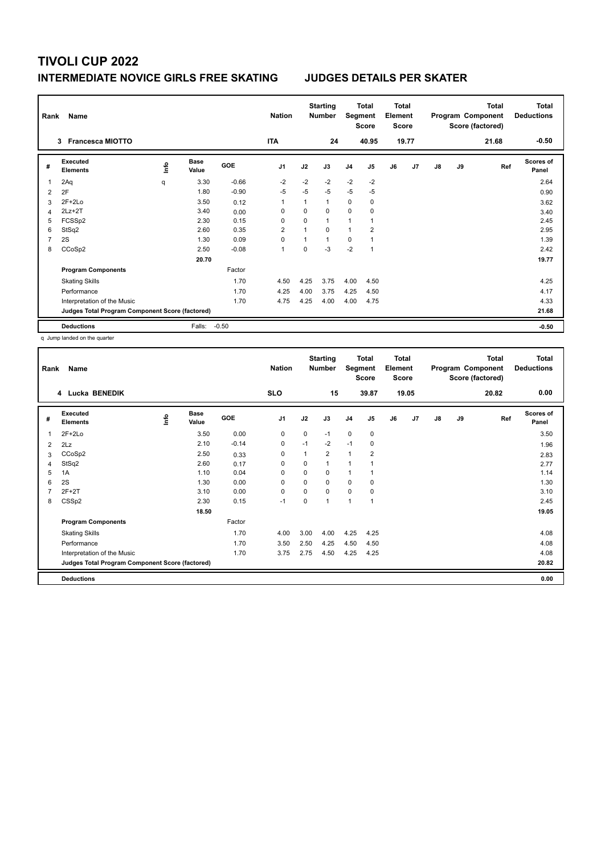## **INTERMEDIATE NOVICE GIRLS FREE SKATING JUDGES DETAILS PER SKATER**

| Rank           | Name                                            |      |                      |         | <b>Nation</b>  |          | <b>Starting</b><br><b>Number</b> | Segment        | <b>Total</b><br><b>Score</b> | <b>Total</b><br>Element<br><b>Score</b> |                |               |    | <b>Total</b><br>Program Component<br>Score (factored) | <b>Total</b><br><b>Deductions</b><br>$-0.50$ |
|----------------|-------------------------------------------------|------|----------------------|---------|----------------|----------|----------------------------------|----------------|------------------------------|-----------------------------------------|----------------|---------------|----|-------------------------------------------------------|----------------------------------------------|
|                | <b>Francesca MIOTTO</b><br>3                    |      |                      |         | <b>ITA</b>     |          | 24                               |                | 40.95                        |                                         | 19.77          |               |    | 21.68                                                 |                                              |
| #              | Executed<br><b>Elements</b>                     | lnfo | <b>Base</b><br>Value | GOE     | J <sub>1</sub> | J2       | J3                               | J <sub>4</sub> | J5                           | J6                                      | J <sub>7</sub> | $\mathsf{J}8$ | J9 | Ref                                                   | <b>Scores of</b><br>Panel                    |
| 1              | 2Aq                                             | q    | 3.30                 | $-0.66$ | $-2$           | $-2$     | $-2$                             | $-2$           | $-2$                         |                                         |                |               |    |                                                       | 2.64                                         |
| 2              | 2F                                              |      | 1.80                 | $-0.90$ | $-5$           | $-5$     | $-5$                             | $-5$           | $-5$                         |                                         |                |               |    |                                                       | 0.90                                         |
| 3              | $2F+2Lo$                                        |      | 3.50                 | 0.12    | -1             |          | 1                                | $\mathbf 0$    | $\mathbf 0$                  |                                         |                |               |    |                                                       | 3.62                                         |
| 4              | 2Lz+2T                                          |      | 3.40                 | 0.00    | 0              | $\Omega$ | $\Omega$                         | $\Omega$       | 0                            |                                         |                |               |    |                                                       | 3.40                                         |
| 5              | FCSSp2                                          |      | 2.30                 | 0.15    | $\Omega$       | 0        | $\mathbf{1}$                     | 1              | 1                            |                                         |                |               |    |                                                       | 2.45                                         |
| 6              | StSq2                                           |      | 2.60                 | 0.35    | $\overline{2}$ |          | $\Omega$                         | 1              | $\overline{2}$               |                                         |                |               |    |                                                       | 2.95                                         |
| $\overline{7}$ | 2S                                              |      | 1.30                 | 0.09    | 0              |          | $\mathbf{1}$                     | $\mathbf 0$    |                              |                                         |                |               |    |                                                       | 1.39                                         |
| 8              | CCoSp2                                          |      | 2.50                 | $-0.08$ | $\overline{1}$ | 0        | $-3$                             | $-2$           | 1                            |                                         |                |               |    |                                                       | 2.42                                         |
|                |                                                 |      | 20.70                |         |                |          |                                  |                |                              |                                         |                |               |    |                                                       | 19.77                                        |
|                | <b>Program Components</b>                       |      |                      | Factor  |                |          |                                  |                |                              |                                         |                |               |    |                                                       |                                              |
|                | <b>Skating Skills</b>                           |      |                      | 1.70    | 4.50           | 4.25     | 3.75                             | 4.00           | 4.50                         |                                         |                |               |    |                                                       | 4.25                                         |
|                | Performance                                     |      |                      | 1.70    | 4.25           | 4.00     | 3.75                             | 4.25           | 4.50                         |                                         |                |               |    |                                                       | 4.17                                         |
|                | Interpretation of the Music                     |      |                      | 1.70    | 4.75           | 4.25     | 4.00                             | 4.00           | 4.75                         |                                         |                |               |    |                                                       | 4.33                                         |
|                | Judges Total Program Component Score (factored) |      |                      |         |                |          |                                  |                |                              |                                         |                |               |    |                                                       | 21.68                                        |
|                | <b>Deductions</b>                               |      | Falls:               | $-0.50$ |                |          |                                  |                |                              |                                         |                |               |    |                                                       | $-0.50$                                      |

q Jump landed on the quarter

| Rank           | Name                                            |   |                      |         | <b>Nation</b>  |          | <b>Starting</b><br><b>Number</b> | Segment        | <b>Total</b><br>Score    | Total<br>Element<br><b>Score</b> |       |               |    | <b>Total</b><br>Program Component<br>Score (factored) | <b>Total</b><br><b>Deductions</b> |
|----------------|-------------------------------------------------|---|----------------------|---------|----------------|----------|----------------------------------|----------------|--------------------------|----------------------------------|-------|---------------|----|-------------------------------------------------------|-----------------------------------|
|                | 4 Lucka BENEDIK                                 |   |                      |         | <b>SLO</b>     |          | 15                               |                | 39.87                    |                                  | 19.05 |               |    | 20.82                                                 | 0.00                              |
| #              | Executed<br><b>Elements</b>                     | ۴ | <b>Base</b><br>Value | GOE     | J <sub>1</sub> | J2       | J3                               | J <sub>4</sub> | J5                       | J6                               | J7    | $\mathsf{J}8$ | J9 | Ref                                                   | <b>Scores of</b><br>Panel         |
| 1              | $2F+2Lo$                                        |   | 3.50                 | 0.00    | 0              | 0        | $-1$                             | 0              | 0                        |                                  |       |               |    |                                                       | 3.50                              |
| 2              | 2Lz                                             |   | 2.10                 | $-0.14$ | $\mathbf 0$    | $-1$     | $-2$                             | $-1$           | 0                        |                                  |       |               |    |                                                       | 1.96                              |
| 3              | CCoSp2                                          |   | 2.50                 | 0.33    | 0              | 1        | $\overline{2}$                   | $\mathbf{1}$   | 2                        |                                  |       |               |    |                                                       | 2.83                              |
| 4              | StSq2                                           |   | 2.60                 | 0.17    | 0              | 0        | 1                                | $\overline{1}$ |                          |                                  |       |               |    |                                                       | 2.77                              |
| 5              | 1A                                              |   | 1.10                 | 0.04    | 0              | 0        | 0                                | $\mathbf{1}$   |                          |                                  |       |               |    |                                                       | 1.14                              |
| 6              | 2S                                              |   | 1.30                 | 0.00    | 0              | $\Omega$ | 0                                | 0              | 0                        |                                  |       |               |    |                                                       | 1.30                              |
| $\overline{7}$ | $2F+2T$                                         |   | 3.10                 | 0.00    | 0              | $\Omega$ | 0                                | $\mathbf 0$    | 0                        |                                  |       |               |    |                                                       | 3.10                              |
| 8              | CSS <sub>p2</sub>                               |   | 2.30                 | 0.15    | $-1$           | 0        | 1                                | $\overline{1}$ | $\overline{\phantom{a}}$ |                                  |       |               |    |                                                       | 2.45                              |
|                |                                                 |   | 18.50                |         |                |          |                                  |                |                          |                                  |       |               |    |                                                       | 19.05                             |
|                | <b>Program Components</b>                       |   |                      | Factor  |                |          |                                  |                |                          |                                  |       |               |    |                                                       |                                   |
|                | <b>Skating Skills</b>                           |   |                      | 1.70    | 4.00           | 3.00     | 4.00                             | 4.25           | 4.25                     |                                  |       |               |    |                                                       | 4.08                              |
|                | Performance                                     |   |                      | 1.70    | 3.50           | 2.50     | 4.25                             | 4.50           | 4.50                     |                                  |       |               |    |                                                       | 4.08                              |
|                | Interpretation of the Music                     |   |                      | 1.70    | 3.75           | 2.75     | 4.50                             | 4.25           | 4.25                     |                                  |       |               |    |                                                       | 4.08                              |
|                | Judges Total Program Component Score (factored) |   |                      |         |                |          |                                  |                |                          |                                  |       |               |    |                                                       | 20.82                             |
|                | <b>Deductions</b>                               |   |                      |         |                |          |                                  |                |                          |                                  |       |               |    |                                                       | 0.00                              |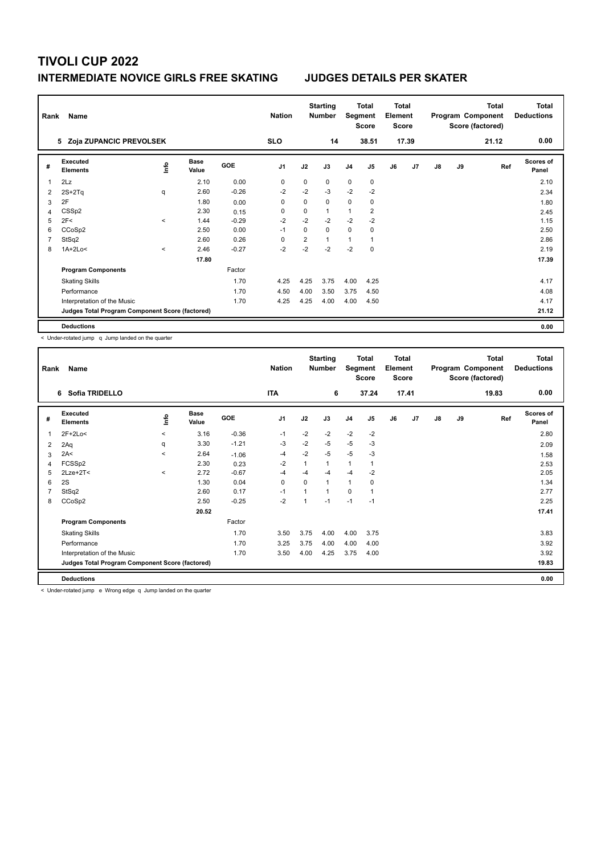## **INTERMEDIATE NOVICE GIRLS FREE SKATING JUDGES DETAILS PER SKATER**

| Rank | Name                                            |              |                      |            | <b>Nation</b>  |          | <b>Starting</b><br><b>Number</b> | Segment        | <b>Total</b><br><b>Score</b> | <b>Total</b><br>Element<br><b>Score</b> |       |    |    | <b>Total</b><br>Program Component<br>Score (factored) | Total<br><b>Deductions</b> |
|------|-------------------------------------------------|--------------|----------------------|------------|----------------|----------|----------------------------------|----------------|------------------------------|-----------------------------------------|-------|----|----|-------------------------------------------------------|----------------------------|
|      | 5 Zoja ZUPANCIC PREVOLSEK                       |              |                      |            | <b>SLO</b>     |          | 14                               |                | 38.51                        |                                         | 17.39 |    |    | 21.12                                                 | 0.00                       |
| #    | Executed<br><b>Elements</b>                     | Info         | <b>Base</b><br>Value | <b>GOE</b> | J <sub>1</sub> | J2       | J3                               | J <sub>4</sub> | J5                           | J6                                      | J7    | J8 | J9 | Ref                                                   | <b>Scores of</b><br>Panel  |
| 1    | 2Lz                                             |              | 2.10                 | 0.00       | 0              | 0        | 0                                | 0              | $\mathbf 0$                  |                                         |       |    |    |                                                       | 2.10                       |
| 2    | $2S+2Tq$                                        | q            | 2.60                 | $-0.26$    | $-2$           | $-2$     | $-3$                             | $-2$           | $-2$                         |                                         |       |    |    |                                                       | 2.34                       |
| 3    | 2F                                              |              | 1.80                 | 0.00       | 0              | 0        | 0                                | 0              | 0                            |                                         |       |    |    |                                                       | 1.80                       |
| 4    | CSS <sub>p2</sub>                               |              | 2.30                 | 0.15       | $\Omega$       | 0        | 1                                | 1              | 2                            |                                         |       |    |    |                                                       | 2.45                       |
| 5    | 2F<                                             | $\prec$      | 1.44                 | $-0.29$    | $-2$           | $-2$     | $-2$                             | $-2$           | $-2$                         |                                         |       |    |    |                                                       | 1.15                       |
| 6    | CCoSp2                                          |              | 2.50                 | 0.00       | $-1$           | $\Omega$ | $\Omega$                         | 0              | 0                            |                                         |       |    |    |                                                       | 2.50                       |
|      | StSq2                                           |              | 2.60                 | 0.26       | 0              | 2        | $\mathbf{1}$                     | 1              |                              |                                         |       |    |    |                                                       | 2.86                       |
| 8    | $1A+2Lo<$                                       | $\checkmark$ | 2.46                 | $-0.27$    | $-2$           | $-2$     | $-2$                             | $-2$           | 0                            |                                         |       |    |    |                                                       | 2.19                       |
|      |                                                 |              | 17.80                |            |                |          |                                  |                |                              |                                         |       |    |    |                                                       | 17.39                      |
|      | <b>Program Components</b>                       |              |                      | Factor     |                |          |                                  |                |                              |                                         |       |    |    |                                                       |                            |
|      | <b>Skating Skills</b>                           |              |                      | 1.70       | 4.25           | 4.25     | 3.75                             | 4.00           | 4.25                         |                                         |       |    |    |                                                       | 4.17                       |
|      | Performance                                     |              |                      | 1.70       | 4.50           | 4.00     | 3.50                             | 3.75           | 4.50                         |                                         |       |    |    |                                                       | 4.08                       |
|      | Interpretation of the Music                     |              |                      | 1.70       | 4.25           | 4.25     | 4.00                             | 4.00           | 4.50                         |                                         |       |    |    |                                                       | 4.17                       |
|      | Judges Total Program Component Score (factored) |              |                      |            |                |          |                                  |                |                              |                                         |       |    |    |                                                       | 21.12                      |
|      | <b>Deductions</b>                               |              |                      |            |                |          |                                  |                |                              |                                         |       |    |    |                                                       | 0.00                       |

< Under-rotated jump q Jump landed on the quarter

| Rank           | Name                                            |         |                      |            | <b>Nation</b>  |      | <b>Starting</b><br><b>Number</b> | Segment        | <b>Total</b><br><b>Score</b> | <b>Total</b><br>Element<br><b>Score</b> |       |               |    | <b>Total</b><br>Program Component<br>Score (factored) | <b>Total</b><br><b>Deductions</b> |
|----------------|-------------------------------------------------|---------|----------------------|------------|----------------|------|----------------------------------|----------------|------------------------------|-----------------------------------------|-------|---------------|----|-------------------------------------------------------|-----------------------------------|
|                | Sofia TRIDELLO<br>6                             |         |                      |            | <b>ITA</b>     |      | 6                                |                | 37.24                        |                                         | 17.41 |               |    | 19.83                                                 | 0.00                              |
| #              | Executed<br><b>Elements</b>                     | lnfo    | <b>Base</b><br>Value | <b>GOE</b> | J <sub>1</sub> | J2   | J3                               | J <sub>4</sub> | J5                           | J6                                      | J7    | $\mathsf{J}8$ | J9 | Ref                                                   | <b>Scores of</b><br>Panel         |
| 1              | 2F+2Lo<                                         | $\prec$ | 3.16                 | $-0.36$    | $-1$           | $-2$ | $-2$                             | $-2$           | $-2$                         |                                         |       |               |    |                                                       | 2.80                              |
| 2              | 2Aq                                             | q       | 3.30                 | $-1.21$    | -3             | $-2$ | $-5$                             | $-5$           | $-3$                         |                                         |       |               |    |                                                       | 2.09                              |
| 3              | 2A<                                             | $\prec$ | 2.64                 | $-1.06$    | -4             | $-2$ | $-5$                             | $-5$           | $-3$                         |                                         |       |               |    |                                                       | 1.58                              |
| $\overline{4}$ | FCSSp2                                          |         | 2.30                 | 0.23       | $-2$           | 1    | 1                                | 1              | 1                            |                                         |       |               |    |                                                       | 2.53                              |
| 5              | $2$ Lze+ $2$ T<                                 | $\prec$ | 2.72                 | $-0.67$    | $-4$           | $-4$ | $-4$                             | $-4$           | $-2$                         |                                         |       |               |    |                                                       | 2.05                              |
| 6              | 2S                                              |         | 1.30                 | 0.04       | $\mathbf 0$    | 0    | 1                                | $\mathbf{1}$   | 0                            |                                         |       |               |    |                                                       | 1.34                              |
| 7              | StSq2                                           |         | 2.60                 | 0.17       | $-1$           | 1    | 1                                | 0              | 1                            |                                         |       |               |    |                                                       | 2.77                              |
| 8              | CCoSp2                                          |         | 2.50                 | $-0.25$    | $-2$           | 1    | $-1$                             | $-1$           | $-1$                         |                                         |       |               |    |                                                       | 2.25                              |
|                |                                                 |         | 20.52                |            |                |      |                                  |                |                              |                                         |       |               |    |                                                       | 17.41                             |
|                | <b>Program Components</b>                       |         |                      | Factor     |                |      |                                  |                |                              |                                         |       |               |    |                                                       |                                   |
|                | <b>Skating Skills</b>                           |         |                      | 1.70       | 3.50           | 3.75 | 4.00                             | 4.00           | 3.75                         |                                         |       |               |    |                                                       | 3.83                              |
|                | Performance                                     |         |                      | 1.70       | 3.25           | 3.75 | 4.00                             | 4.00           | 4.00                         |                                         |       |               |    |                                                       | 3.92                              |
|                | Interpretation of the Music                     |         |                      | 1.70       | 3.50           | 4.00 | 4.25                             | 3.75           | 4.00                         |                                         |       |               |    |                                                       | 3.92                              |
|                | Judges Total Program Component Score (factored) |         |                      |            |                |      |                                  |                |                              |                                         |       |               |    |                                                       | 19.83                             |
|                | <b>Deductions</b>                               |         |                      |            |                |      |                                  |                |                              |                                         |       |               |    |                                                       | 0.00                              |

< Under-rotated jump e Wrong edge q Jump landed on the quarter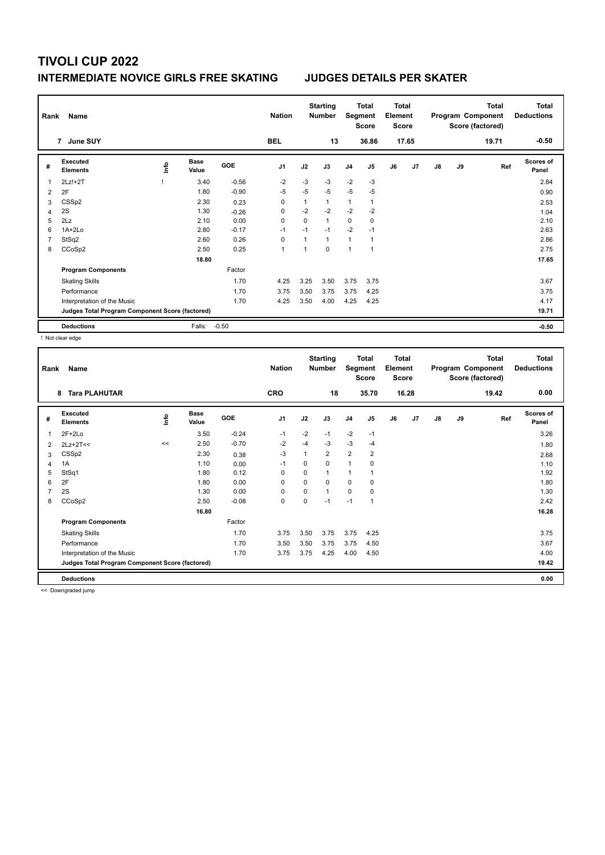## **INTERMEDIATE NOVICE GIRLS FREE SKATING JUDGES DETAILS PER SKATER**

| Rank | Name                                            |      |                      |         | <b>Nation</b>  |              | <b>Starting</b><br><b>Number</b> | Segment        | Total<br><b>Score</b> | <b>Total</b><br>Element<br><b>Score</b> |                |               |    | <b>Total</b><br>Program Component<br>Score (factored) | Total<br><b>Deductions</b> |
|------|-------------------------------------------------|------|----------------------|---------|----------------|--------------|----------------------------------|----------------|-----------------------|-----------------------------------------|----------------|---------------|----|-------------------------------------------------------|----------------------------|
|      | 7 June SUY                                      |      |                      |         | <b>BEL</b>     |              | 13                               |                | 36.86                 |                                         | 17.65          |               |    | 19.71                                                 | $-0.50$                    |
| #    | <b>Executed</b><br><b>Elements</b>              | ١nfo | <b>Base</b><br>Value | GOE     | J <sub>1</sub> | J2           | J3                               | J <sub>4</sub> | J <sub>5</sub>        | J6                                      | J <sub>7</sub> | $\mathsf{J}8$ | J9 | Ref                                                   | <b>Scores of</b><br>Panel  |
| 1    | $2Lz!+2T$                                       |      | 3.40                 | $-0.56$ | $-2$           | $-3$         | $-3$                             | $-2$           | $-3$                  |                                         |                |               |    |                                                       | 2.84                       |
| 2    | 2F                                              |      | 1.80                 | $-0.90$ | $-5$           | $-5$         | $-5$                             | $-5$           | $-5$                  |                                         |                |               |    |                                                       | 0.90                       |
| 3    | CSS <sub>p2</sub>                               |      | 2.30                 | 0.23    | 0              | 1            | 1                                | 1              |                       |                                         |                |               |    |                                                       | 2.53                       |
| 4    | 2S                                              |      | 1.30                 | $-0.26$ | 0              | $-2$         | $-2$                             | $-2$           | $-2$                  |                                         |                |               |    |                                                       | 1.04                       |
| 5    | 2Lz                                             |      | 2.10                 | 0.00    | $\Omega$       | $\Omega$     | $\mathbf{1}$                     | 0              | 0                     |                                         |                |               |    |                                                       | 2.10                       |
| 6    | $1A+2Lo$                                        |      | 2.80                 | $-0.17$ | $-1$           | $-1$         | $-1$                             | $-2$           | $-1$                  |                                         |                |               |    |                                                       | 2.63                       |
|      | StSq2                                           |      | 2.60                 | 0.26    | $\Omega$       | $\mathbf{1}$ | $\mathbf{1}$                     | 1              |                       |                                         |                |               |    |                                                       | 2.86                       |
| 8    | CCoSp2                                          |      | 2.50                 | 0.25    | 1              |              | 0                                | 1              | $\overline{1}$        |                                         |                |               |    |                                                       | 2.75                       |
|      |                                                 |      | 18.80                |         |                |              |                                  |                |                       |                                         |                |               |    |                                                       | 17.65                      |
|      | <b>Program Components</b>                       |      |                      | Factor  |                |              |                                  |                |                       |                                         |                |               |    |                                                       |                            |
|      | <b>Skating Skills</b>                           |      |                      | 1.70    | 4.25           | 3.25         | 3.50                             | 3.75           | 3.75                  |                                         |                |               |    |                                                       | 3.67                       |
|      | Performance                                     |      |                      | 1.70    | 3.75           | 3.50         | 3.75                             | 3.75           | 4.25                  |                                         |                |               |    |                                                       | 3.75                       |
|      | Interpretation of the Music                     |      |                      | 1.70    | 4.25           | 3.50         | 4.00                             | 4.25           | 4.25                  |                                         |                |               |    |                                                       | 4.17                       |
|      | Judges Total Program Component Score (factored) |      |                      |         |                |              |                                  |                |                       |                                         |                |               |    |                                                       | 19.71                      |
|      | <b>Deductions</b>                               |      | Falls:               | $-0.50$ |                |              |                                  |                |                       |                                         |                |               |    |                                                       | $-0.50$                    |

! Not clear edge

| Rank           | Name                                            |      |                      |            | <b>Nation</b>  |              | <b>Starting</b><br><b>Number</b> | Segment        | Total<br><b>Score</b> | <b>Total</b><br>Element<br><b>Score</b> |       |               |    | <b>Total</b><br>Program Component<br>Score (factored) | <b>Total</b><br><b>Deductions</b> |
|----------------|-------------------------------------------------|------|----------------------|------------|----------------|--------------|----------------------------------|----------------|-----------------------|-----------------------------------------|-------|---------------|----|-------------------------------------------------------|-----------------------------------|
|                | <b>Tara PLAHUTAR</b><br>8                       |      |                      |            | <b>CRO</b>     |              | 18                               |                | 35.70                 |                                         | 16.28 |               |    | 19.42                                                 | 0.00                              |
| #              | Executed<br><b>Elements</b>                     | lnfo | <b>Base</b><br>Value | <b>GOE</b> | J <sub>1</sub> | J2           | J3                               | J <sub>4</sub> | J <sub>5</sub>        | J6                                      | J7    | $\mathsf{J}8$ | J9 | Ref                                                   | Scores of<br>Panel                |
| 1              | $2F+2Lo$                                        |      | 3.50                 | $-0.24$    | $-1$           | $-2$         | $-1$                             | $-2$           | $-1$                  |                                         |       |               |    |                                                       | 3.26                              |
| 2              | $2Lz+2T<<$                                      | <<   | 2.50                 | $-0.70$    | $-2$           | $-4$         | $-3$                             | $-3$           | $-4$                  |                                         |       |               |    |                                                       | 1.80                              |
| 3              | CSS <sub>p2</sub>                               |      | 2.30                 | 0.38       | $-3$           | $\mathbf{1}$ | $\overline{2}$                   | $\overline{2}$ | 2                     |                                         |       |               |    |                                                       | 2.68                              |
| $\overline{4}$ | 1A                                              |      | 1.10                 | 0.00       | $-1$           | 0            | 0                                | $\mathbf{1}$   | 0                     |                                         |       |               |    |                                                       | 1.10                              |
| 5              | StSq1                                           |      | 1.80                 | 0.12       | 0              | 0            | 1                                | $\mathbf{1}$   |                       |                                         |       |               |    |                                                       | 1.92                              |
| 6              | 2F                                              |      | 1.80                 | 0.00       | 0              | $\mathbf 0$  | 0                                | $\mathbf 0$    | 0                     |                                         |       |               |    |                                                       | 1.80                              |
| $\overline{7}$ | 2S                                              |      | 1.30                 | 0.00       | 0              | 0            | $\mathbf{1}$                     | 0              | 0                     |                                         |       |               |    |                                                       | 1.30                              |
| 8              | CCoSp2                                          |      | 2.50                 | $-0.08$    | $\mathbf 0$    | 0            | $-1$                             | $-1$           | 1                     |                                         |       |               |    |                                                       | 2.42                              |
|                |                                                 |      | 16.80                |            |                |              |                                  |                |                       |                                         |       |               |    |                                                       | 16.28                             |
|                | <b>Program Components</b>                       |      |                      | Factor     |                |              |                                  |                |                       |                                         |       |               |    |                                                       |                                   |
|                | <b>Skating Skills</b>                           |      |                      | 1.70       | 3.75           | 3.50         | 3.75                             | 3.75           | 4.25                  |                                         |       |               |    |                                                       | 3.75                              |
|                | Performance                                     |      |                      | 1.70       | 3.50           | 3.50         | 3.75                             | 3.75           | 4.50                  |                                         |       |               |    |                                                       | 3.67                              |
|                | Interpretation of the Music                     |      |                      | 1.70       | 3.75           | 3.75         | 4.25                             | 4.00           | 4.50                  |                                         |       |               |    |                                                       | 4.00                              |
|                | Judges Total Program Component Score (factored) |      |                      |            |                |              |                                  |                |                       |                                         |       |               |    |                                                       | 19.42                             |
|                | <b>Deductions</b>                               |      |                      |            |                |              |                                  |                |                       |                                         |       |               |    |                                                       | 0.00                              |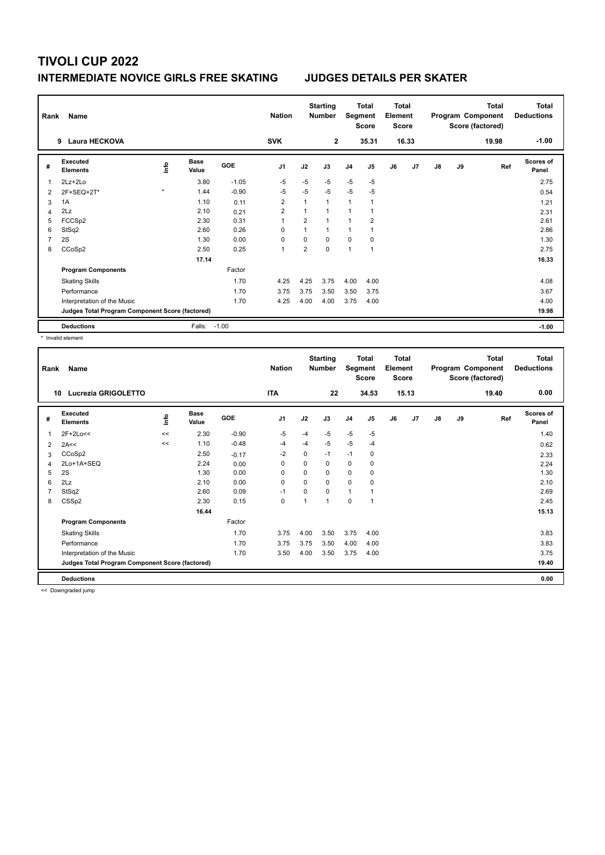## **INTERMEDIATE NOVICE GIRLS FREE SKATING JUDGES DETAILS PER SKATER**

| Rank           | Name<br>Laura HECKOVA<br>9                      |             |                      |         | <b>Nation</b><br><b>SVK</b> |                | <b>Starting</b><br><b>Number</b><br>$\mathbf{2}$ | Segment        | <b>Total</b><br><b>Score</b><br>35.31 | <b>Total</b><br>Element<br>Score | 16.33          |               |    | <b>Total</b><br>Program Component<br>Score (factored)<br>19.98 | Total<br><b>Deductions</b><br>$-1.00$ |
|----------------|-------------------------------------------------|-------------|----------------------|---------|-----------------------------|----------------|--------------------------------------------------|----------------|---------------------------------------|----------------------------------|----------------|---------------|----|----------------------------------------------------------------|---------------------------------------|
|                |                                                 |             |                      |         |                             |                |                                                  |                |                                       |                                  |                |               |    |                                                                |                                       |
| #              | Executed<br><b>Elements</b>                     | <b>Info</b> | <b>Base</b><br>Value | GOE     | J <sub>1</sub>              | J2             | J3                                               | J <sub>4</sub> | J <sub>5</sub>                        | J6                               | J <sub>7</sub> | $\mathsf{J}8$ | J9 | Ref                                                            | <b>Scores of</b><br>Panel             |
| 1              | 2Lz+2Lo                                         |             | 3.80                 | $-1.05$ | $-5$                        | $-5$           | $-5$                                             | $-5$           | $-5$                                  |                                  |                |               |    |                                                                | 2.75                                  |
| 2              | 2F+SEQ+2T*                                      | $\star$     | 1.44                 | $-0.90$ | $-5$                        | $-5$           | $-5$                                             | $-5$           | $-5$                                  |                                  |                |               |    |                                                                | 0.54                                  |
| 3              | 1A                                              |             | 1.10                 | 0.11    | $\overline{2}$              |                | $\mathbf{1}$                                     | $\mathbf{1}$   | 1                                     |                                  |                |               |    |                                                                | 1.21                                  |
| 4              | 2Lz                                             |             | 2.10                 | 0.21    | $\overline{2}$              |                | $\mathbf{1}$                                     | $\mathbf{1}$   |                                       |                                  |                |               |    |                                                                | 2.31                                  |
| 5              | FCCSp2                                          |             | 2.30                 | 0.31    | 1                           | 2              | $\mathbf{1}$                                     | $\mathbf{1}$   | $\overline{2}$                        |                                  |                |               |    |                                                                | 2.61                                  |
| 6              | StSq2                                           |             | 2.60                 | 0.26    | 0                           |                | $\mathbf 1$                                      | 1              |                                       |                                  |                |               |    |                                                                | 2.86                                  |
| $\overline{7}$ | 2S                                              |             | 1.30                 | 0.00    | $\Omega$                    | 0              | $\Omega$                                         | $\Omega$       | 0                                     |                                  |                |               |    |                                                                | 1.30                                  |
| 8              | CCoSp2                                          |             | 2.50                 | 0.25    | $\overline{1}$              | $\overline{2}$ | $\Omega$                                         | 1              | 1                                     |                                  |                |               |    |                                                                | 2.75                                  |
|                |                                                 |             | 17.14                |         |                             |                |                                                  |                |                                       |                                  |                |               |    |                                                                | 16.33                                 |
|                | <b>Program Components</b>                       |             |                      | Factor  |                             |                |                                                  |                |                                       |                                  |                |               |    |                                                                |                                       |
|                | <b>Skating Skills</b>                           |             |                      | 1.70    | 4.25                        | 4.25           | 3.75                                             | 4.00           | 4.00                                  |                                  |                |               |    |                                                                | 4.08                                  |
|                | Performance                                     |             |                      | 1.70    | 3.75                        | 3.75           | 3.50                                             | 3.50           | 3.75                                  |                                  |                |               |    |                                                                | 3.67                                  |
|                | Interpretation of the Music                     |             |                      | 1.70    | 4.25                        | 4.00           | 4.00                                             | 3.75           | 4.00                                  |                                  |                |               |    |                                                                | 4.00                                  |
|                | Judges Total Program Component Score (factored) |             |                      |         |                             |                |                                                  |                |                                       |                                  |                |               |    |                                                                | 19.98                                 |
|                | <b>Deductions</b>                               |             | Falls: -1.00         |         |                             |                |                                                  |                |                                       |                                  |                |               |    |                                                                | $-1.00$                               |

\* Invalid element

| Rank | Name                                            |    |                      |         | <b>Nation</b>  |          | <b>Starting</b><br><b>Number</b> | Segment        | <b>Total</b><br><b>Score</b> | <b>Total</b><br>Element<br><b>Score</b> |       |               |    | <b>Total</b><br>Program Component<br>Score (factored) | <b>Total</b><br><b>Deductions</b> |
|------|-------------------------------------------------|----|----------------------|---------|----------------|----------|----------------------------------|----------------|------------------------------|-----------------------------------------|-------|---------------|----|-------------------------------------------------------|-----------------------------------|
| 10   | Lucrezia GRIGOLETTO                             |    |                      |         | <b>ITA</b>     |          | 22                               |                | 34.53                        |                                         | 15.13 |               |    | 19.40                                                 | 0.00                              |
| #    | Executed<br><b>Elements</b>                     | ۴  | <b>Base</b><br>Value | GOE     | J <sub>1</sub> | J2       | J3                               | J <sub>4</sub> | J5                           | J6                                      | J7    | $\mathsf{J}8$ | J9 | Ref                                                   | <b>Scores of</b><br>Panel         |
| 1    | 2F+2Lo<<                                        | << | 2.30                 | $-0.90$ | $-5$           | $-4$     | $-5$                             | $-5$           | $-5$                         |                                         |       |               |    |                                                       | 1.40                              |
| 2    | 2A<<                                            | << | 1.10                 | $-0.48$ | -4             | -4       | $-5$                             | $-5$           | $-4$                         |                                         |       |               |    |                                                       | 0.62                              |
| 3    | CCoSp2                                          |    | 2.50                 | $-0.17$ | $-2$           | $\Omega$ | $-1$                             | $-1$           | 0                            |                                         |       |               |    |                                                       | 2.33                              |
| 4    | 2Lo+1A+SEQ                                      |    | 2.24                 | 0.00    | 0              | 0        | 0                                | 0              | 0                            |                                         |       |               |    |                                                       | 2.24                              |
| 5    | 2S                                              |    | 1.30                 | 0.00    | 0              | $\Omega$ | $\Omega$                         | $\mathbf 0$    | 0                            |                                         |       |               |    |                                                       | 1.30                              |
| 6    | 2Lz                                             |    | 2.10                 | 0.00    | 0              | 0        | 0                                | $\mathbf 0$    | 0                            |                                         |       |               |    |                                                       | 2.10                              |
| 7    | StSq2                                           |    | 2.60                 | 0.09    | $-1$           | 0        | 0                                | $\mathbf{1}$   | 1                            |                                         |       |               |    |                                                       | 2.69                              |
| 8    | CSS <sub>p2</sub>                               |    | 2.30                 | 0.15    | $\mathbf 0$    | 1        | 1                                | $\mathbf 0$    | 1                            |                                         |       |               |    |                                                       | 2.45                              |
|      |                                                 |    | 16.44                |         |                |          |                                  |                |                              |                                         |       |               |    |                                                       | 15.13                             |
|      | <b>Program Components</b>                       |    |                      | Factor  |                |          |                                  |                |                              |                                         |       |               |    |                                                       |                                   |
|      | <b>Skating Skills</b>                           |    |                      | 1.70    | 3.75           | 4.00     | 3.50                             | 3.75           | 4.00                         |                                         |       |               |    |                                                       | 3.83                              |
|      | Performance                                     |    |                      | 1.70    | 3.75           | 3.75     | 3.50                             | 4.00           | 4.00                         |                                         |       |               |    |                                                       | 3.83                              |
|      | Interpretation of the Music                     |    |                      | 1.70    | 3.50           | 4.00     | 3.50                             | 3.75           | 4.00                         |                                         |       |               |    |                                                       | 3.75                              |
|      | Judges Total Program Component Score (factored) |    |                      |         |                |          |                                  |                |                              |                                         |       |               |    |                                                       | 19.40                             |
|      | <b>Deductions</b>                               |    |                      |         |                |          |                                  |                |                              |                                         |       |               |    |                                                       | 0.00                              |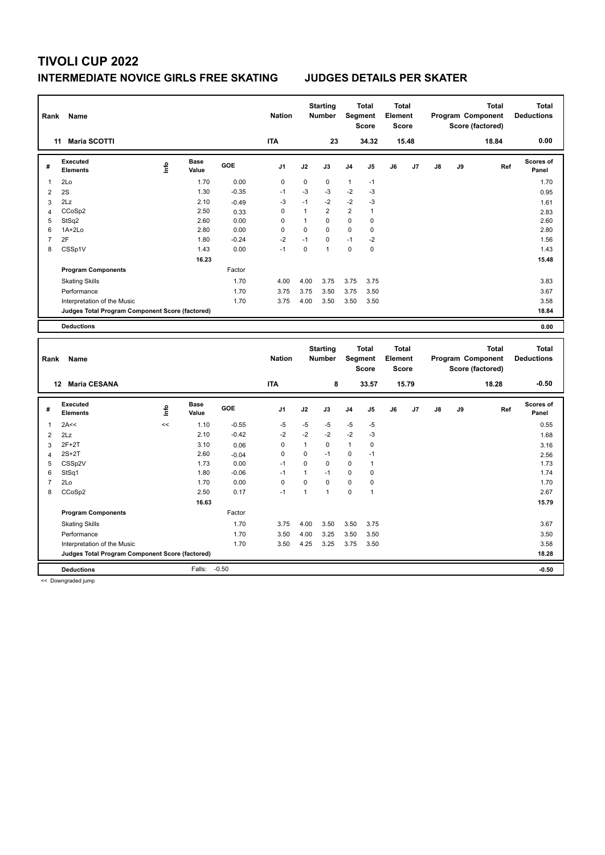## **INTERMEDIATE NOVICE GIRLS FREE SKATING JUDGES DETAILS PER SKATER**

| Rank           | Name                                            |      |                      |         | <b>Nation</b> |              | <b>Starting</b><br><b>Number</b> | Segment      | <b>Total</b><br><b>Score</b> | <b>Total</b><br>Element<br><b>Score</b> |       |    |    | <b>Total</b><br>Program Component<br>Score (factored) |     | <b>Total</b><br><b>Deductions</b> |
|----------------|-------------------------------------------------|------|----------------------|---------|---------------|--------------|----------------------------------|--------------|------------------------------|-----------------------------------------|-------|----|----|-------------------------------------------------------|-----|-----------------------------------|
|                | 11 Maria SCOTTI                                 |      |                      |         | <b>ITA</b>    |              | 23                               |              | 34.32                        |                                         | 15.48 |    |    | 18.84                                                 |     | 0.00                              |
| #              | <b>Executed</b><br><b>Elements</b>              | lnfo | <b>Base</b><br>Value | GOE     | J1            | J2           | J3                               | J4           | J5                           | J6                                      | J7    | J8 | J9 |                                                       | Ref | Scores of<br>Panel                |
| $\mathbf{1}$   | 2Lo                                             |      | 1.70                 | 0.00    | $\mathbf 0$   | $\mathbf 0$  | $\mathbf 0$                      | $\mathbf{1}$ | $-1$                         |                                         |       |    |    |                                                       |     | 1.70                              |
| $\overline{2}$ | 2S                                              |      | 1.30                 | $-0.35$ | $-1$          | $-3$         | -3                               | $-2$         | -3                           |                                         |       |    |    |                                                       |     | 0.95                              |
| 3              | 2Lz                                             |      | 2.10                 | $-0.49$ | $-3$          | $-1$         | $-2$                             | $-2$         | $-3$                         |                                         |       |    |    |                                                       |     | 1.61                              |
| $\overline{4}$ | CCoSp2                                          |      | 2.50                 | 0.33    | $\mathbf 0$   | $\mathbf{1}$ | 2                                | 2            | $\mathbf{1}$                 |                                         |       |    |    |                                                       |     | 2.83                              |
| 5              | StSq2                                           |      | 2.60                 | 0.00    | 0             | $\mathbf{1}$ | $\mathbf 0$                      | 0            | $\mathbf 0$                  |                                         |       |    |    |                                                       |     | 2.60                              |
| 6              | 1A+2Lo                                          |      | 2.80                 | 0.00    | 0             | 0            | $\mathbf 0$                      | 0            | $\pmb{0}$                    |                                         |       |    |    |                                                       |     | 2.80                              |
| $\overline{7}$ | 2F                                              |      | 1.80                 | $-0.24$ | $-2$          | $-1$         | $\mathbf 0$                      | $-1$         | $-2$                         |                                         |       |    |    |                                                       |     | 1.56                              |
| 8              | CSSp1V                                          |      | 1.43                 | 0.00    | $-1$          | 0            | $\mathbf{1}$                     | 0            | $\mathbf 0$                  |                                         |       |    |    |                                                       |     | 1.43                              |
|                |                                                 |      | 16.23                |         |               |              |                                  |              |                              |                                         |       |    |    |                                                       |     | 15.48                             |
|                | <b>Program Components</b>                       |      |                      | Factor  |               |              |                                  |              |                              |                                         |       |    |    |                                                       |     |                                   |
|                | <b>Skating Skills</b>                           |      |                      | 1.70    | 4.00          | 4.00         | 3.75                             | 3.75         | 3.75                         |                                         |       |    |    |                                                       |     | 3.83                              |
|                | Performance                                     |      |                      | 1.70    | 3.75          | 3.75         | 3.50                             | 3.75         | 3.50                         |                                         |       |    |    |                                                       |     | 3.67                              |
|                | Interpretation of the Music                     |      |                      | 1.70    | 3.75          | 4.00         | 3.50                             | 3.50         | 3.50                         |                                         |       |    |    |                                                       |     | 3.58                              |
|                | Judges Total Program Component Score (factored) |      |                      |         |               |              |                                  |              |                              |                                         |       |    |    |                                                       |     | 18.84                             |
|                | <b>Deductions</b>                               |      |                      |         |               |              |                                  |              |                              |                                         |       |    |    |                                                       |     | 0.00                              |
|                |                                                 |      |                      |         |               |              |                                  |              |                              |                                         |       |    |    |                                                       |     |                                   |
|                |                                                 |      |                      |         |               |              |                                  |              |                              |                                         |       |    |    |                                                       |     |                                   |
| Rank           | Name                                            |      |                      |         | <b>Nation</b> |              | <b>Starting</b><br><b>Number</b> |              | <b>Total</b><br>Segment      | <b>Total</b><br>Element                 |       |    |    | <b>Total</b><br>Program Component                     |     | <b>Total</b><br><b>Deductions</b> |
|                |                                                 |      |                      |         |               |              |                                  |              | <b>Score</b>                 | <b>Score</b>                            |       |    |    | Score (factored)                                      |     |                                   |
|                | 12 Maria CESANA                                 |      |                      |         | <b>ITA</b>    |              | 8                                |              | 33.57                        |                                         | 15.79 |    |    | 18.28                                                 |     | $-0.50$                           |
|                | <b>Executed</b>                                 |      | <b>Base</b>          | GOE     |               |              |                                  |              |                              |                                         |       |    |    |                                                       |     | <b>Scores of</b>                  |
| #              | <b>Elements</b>                                 | lnfo | Value                |         | J1            | J2           | J3                               | J4           | J5                           | J6                                      | J7    | J8 | J9 |                                                       | Ref | Panel                             |
| $\mathbf{1}$   | 2A<<                                            | <<   | 1.10                 | $-0.55$ | $-5$          | $-5$         | $-5$                             | $-5$         | $-5$                         |                                         |       |    |    |                                                       |     | 0.55                              |
| $\overline{2}$ | 2Lz                                             |      | 2.10                 | $-0.42$ | $-2$          | $-2$         | $-2$                             | $-2$         | $-3$                         |                                         |       |    |    |                                                       |     | 1.68                              |
| 3              | $2F+2T$                                         |      | 3.10                 | 0.06    | 0             | $\mathbf{1}$ | 0                                | $\mathbf{1}$ | $\pmb{0}$                    |                                         |       |    |    |                                                       |     | 3.16                              |
| $\overline{4}$ | $2S+2T$                                         |      | 2.60                 | $-0.04$ | 0             | 0            | $-1$                             | 0            | $-1$                         |                                         |       |    |    |                                                       |     | 2.56                              |
| 5              | CSSp2V                                          |      | 1.73                 | 0.00    | $-1$          | $\Omega$     | $\Omega$                         | 0            | $\mathbf{1}$                 |                                         |       |    |    |                                                       |     | 1.73                              |
| 6              | StSq1                                           |      | 1.80                 | $-0.06$ | $-1$          | 1            | $-1$                             | 0            | $\mathbf 0$                  |                                         |       |    |    |                                                       |     | 1.74                              |
| $\overline{7}$ | 2Lo                                             |      | 1.70                 | 0.00    | $\mathbf 0$   | 0            | $\mathbf 0$                      | 0            | $\mathbf 0$                  |                                         |       |    |    |                                                       |     | 1.70                              |
| 8              | CCoSp2                                          |      | 2.50                 | 0.17    | $-1$          | 1            | $\mathbf{1}$                     | 0            | $\mathbf{1}$                 |                                         |       |    |    |                                                       |     | 2.67                              |
|                |                                                 |      | 16.63                |         |               |              |                                  |              |                              |                                         |       |    |    |                                                       |     | 15.79                             |
|                | <b>Program Components</b>                       |      |                      | Factor  |               |              |                                  |              |                              |                                         |       |    |    |                                                       |     |                                   |
|                | <b>Skating Skills</b>                           |      |                      | 1.70    | 3.75          | 4.00         | 3.50                             | 3.50         | 3.75                         |                                         |       |    |    |                                                       |     | 3.67                              |
|                | Performance                                     |      |                      | 1.70    | 3.50          | 4.00         | 3.25                             | 3.50         | 3.50                         |                                         |       |    |    |                                                       |     | 3.50                              |
|                | Interpretation of the Music                     |      |                      | 1.70    | 3.50          | 4.25         | 3.25                             | 3.75         | 3.50                         |                                         |       |    |    |                                                       |     | 3.58                              |
|                | Judges Total Program Component Score (factored) |      |                      |         |               |              |                                  |              |                              |                                         |       |    |    |                                                       |     | 18.28                             |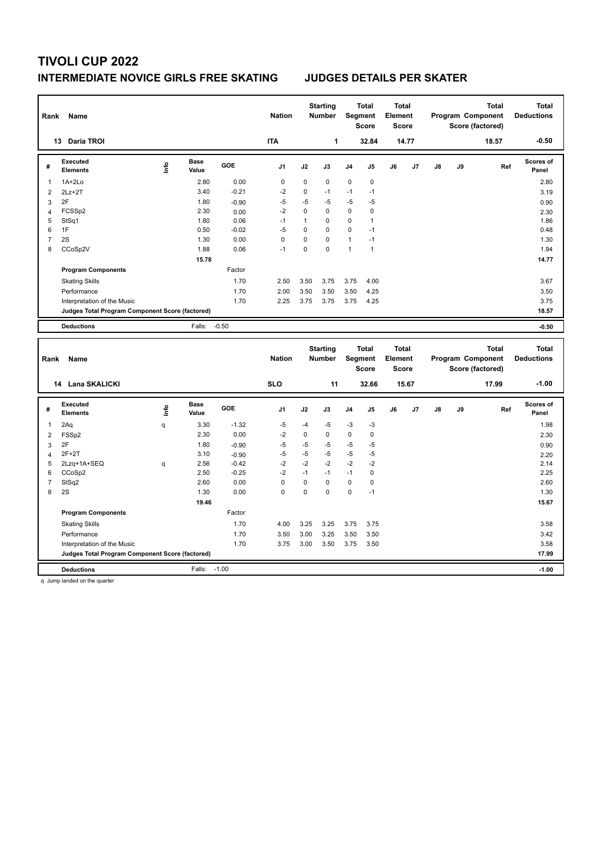## **INTERMEDIATE NOVICE GIRLS FREE SKATING JUDGES DETAILS PER SKATER**

| <b>ITA</b><br>1<br>32.84<br>13 Daria TROI<br>14.77<br><b>Executed</b><br><b>Base</b><br>lnfo<br>GOE<br>J7<br>#<br>J1<br>J2<br>J3<br>J4<br>J5<br>J6<br><b>Elements</b><br>Value | $-0.50$<br>18.57                       |
|--------------------------------------------------------------------------------------------------------------------------------------------------------------------------------|----------------------------------------|
|                                                                                                                                                                                |                                        |
|                                                                                                                                                                                | Scores of<br>J8<br>J9<br>Ref<br>Panel  |
| 2.80<br>0.00<br>$\mathbf 0$<br>$\mathbf 0$<br>0<br>0<br>$\mathbf 0$<br>$1A+2Lo$<br>$\mathbf{1}$                                                                                | 2.80                                   |
| $-2$<br>3.40<br>$-0.21$<br>0<br>$-1$<br>$-1$<br>$-1$<br>$\overline{2}$<br>$2Lz+2T$                                                                                             | 3.19                                   |
| $-5$<br>2F<br>1.80<br>$-5$<br>$-5$<br>$-5$<br>3<br>-5<br>$-0.90$                                                                                                               | 0.90                                   |
| $-2$<br>0<br>$\mathbf 0$<br>0<br>$\pmb{0}$<br>FCSSp2<br>2.30<br>0.00<br>$\overline{4}$                                                                                         | 2.30                                   |
| $-1$<br>$\mathbf{1}$<br>$\mathbf 0$<br>5<br>StSq1<br>1.80<br>0<br>$\mathbf{1}$<br>0.06                                                                                         | 1.86                                   |
| $-5$<br>6<br>1F<br>0<br>$\mathbf 0$<br>0<br>$-1$<br>0.50<br>$-0.02$                                                                                                            | 0.48                                   |
| 0<br>$\overline{7}$<br>2S<br>1.30<br>0.00<br>0<br>$\mathbf 0$<br>$-1$<br>1                                                                                                     | 1.30                                   |
| 8<br>$-1$<br>0<br>$\mathbf 0$<br>$\mathbf{1}$<br>CCoSp2V<br>1.88<br>0.06<br>$\mathbf{1}$                                                                                       | 1.94                                   |
| 15.78                                                                                                                                                                          | 14.77                                  |
| <b>Program Components</b><br>Factor                                                                                                                                            |                                        |
| 1.70<br>2.50<br>3.50<br>3.75<br>3.75<br>4.00<br><b>Skating Skills</b>                                                                                                          | 3.67                                   |
| 1.70<br>2.00<br>3.50<br>3.50<br>3.50<br>4.25<br>Performance                                                                                                                    | 3.50                                   |
| 1.70<br>4.25<br>2.25<br>3.75<br>3.75<br>3.75<br>Interpretation of the Music                                                                                                    | 3.75                                   |
| Judges Total Program Component Score (factored)                                                                                                                                | 18.57                                  |
| $-0.50$<br>Falls:<br><b>Deductions</b>                                                                                                                                         | $-0.50$                                |
| <b>Starting</b><br>Total<br><b>Total</b>                                                                                                                                       | <b>Total</b><br><b>Total</b>           |
| <b>Nation</b><br>Segment<br>Element<br><b>Number</b><br>Rank<br>Name                                                                                                           | Program Component<br><b>Deductions</b> |
| <b>Score</b><br><b>Score</b>                                                                                                                                                   | Score (factored)                       |
| 14 Lana SKALICKI<br><b>SLO</b><br>11<br>32.66<br>15.67                                                                                                                         | $-1.00$<br>17.99                       |
| <b>Executed</b><br><b>Base</b><br>GOE<br>J1<br>J2<br>J6<br>J7<br>J3<br>J4<br>J5<br>#                                                                                           | <b>Scores of</b><br>J9<br>Ref<br>J8    |
| lnfo<br><b>Elements</b><br>Value                                                                                                                                               | Panel                                  |
| $-1.32$<br>2Aq<br>3.30<br>$-5$<br>$-4$<br>$-5$<br>$-3$<br>$-3$<br>$\mathbf{1}$<br>q                                                                                            | 1.98                                   |
| $-2$<br>2.30<br>0.00<br>0<br>0<br>0<br>$\pmb{0}$<br>$\overline{2}$<br>FSS <sub>p2</sub>                                                                                        | 2.30                                   |
| 2F<br>$-5$<br>$-5$<br>$-5$<br>1.80<br>$-5$<br>$-5$<br>$-0.90$<br>3                                                                                                             | 0.90                                   |
| $-5$<br>$-5$<br>$-5$<br>$-5$<br>$-5$<br>$2F+2T$<br>3.10<br>$-0.90$<br>$\overline{4}$                                                                                           | 2.20                                   |
| $-2$<br>$-2$<br>$-2$<br>5<br>2Lzq+1A+SEQ<br>2.56<br>$-0.42$<br>$-2$<br>$-2$<br>q<br>$-1$<br>$-1$                                                                               | 2.14                                   |
| $-2$<br>2.50<br>$-0.25$<br>$-1$<br>$\pmb{0}$<br>6<br>CCoSp2<br>$\overline{7}$<br>2.60<br>0.00<br>$\mathbf 0$<br>0<br>$\mathbf 0$<br>0<br>$\pmb{0}$                             | 2.25<br>2.60                           |
| StSq2<br>0<br>$\mathbf 0$<br>8<br>2S<br>0.00<br>0<br>0<br>$-1$                                                                                                                 |                                        |
| 1.30<br>19.46                                                                                                                                                                  | 1.30<br>15.67                          |
| <b>Program Components</b><br>Factor                                                                                                                                            |                                        |
| 1.70<br>4.00                                                                                                                                                                   |                                        |
| <b>Skating Skills</b><br>3.25<br>3.25<br>3.75<br>3.75                                                                                                                          | 3.58                                   |
| 1.70<br>3.00<br>3.25<br>3.50<br>3.50<br>Performance<br>3.50                                                                                                                    | 3.42                                   |
| 1.70<br>3.75<br>3.00<br>3.50<br>3.75<br>3.50<br>Interpretation of the Music<br>Judges Total Program Component Score (factored)                                                 | 3.58<br>17.99                          |

q Jump landed on the quarter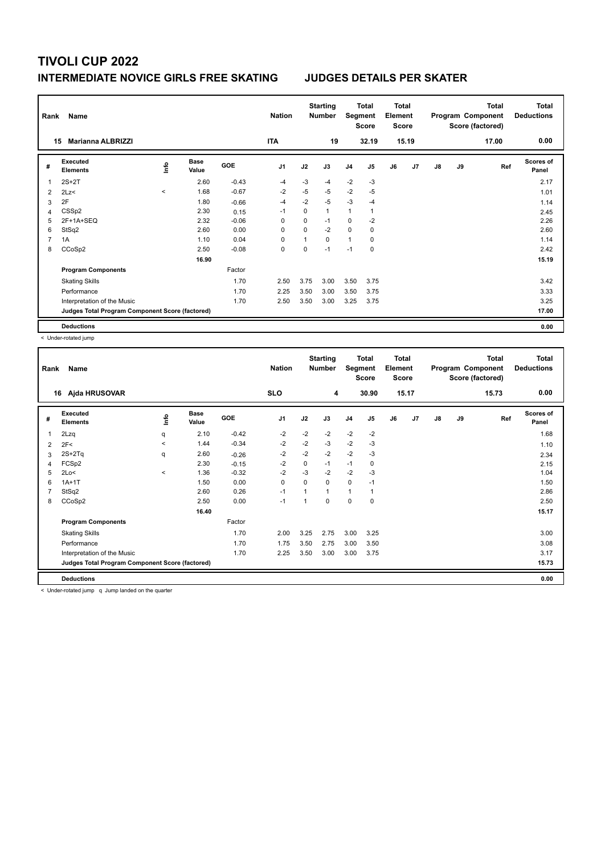## **INTERMEDIATE NOVICE GIRLS FREE SKATING JUDGES DETAILS PER SKATER**

| Rank | Name                                            |       |                      |            | <b>Nation</b>  |          | <b>Starting</b><br><b>Number</b> | Segment        | Total<br><b>Score</b> | Total<br>Element<br><b>Score</b> |       |               |    | <b>Total</b><br>Program Component<br>Score (factored) | Total<br><b>Deductions</b> |
|------|-------------------------------------------------|-------|----------------------|------------|----------------|----------|----------------------------------|----------------|-----------------------|----------------------------------|-------|---------------|----|-------------------------------------------------------|----------------------------|
|      | Marianna ALBRIZZI<br>15                         |       |                      |            | <b>ITA</b>     |          | 19                               |                | 32.19                 |                                  | 15.19 |               |    | 17.00                                                 | 0.00                       |
| #    | Executed<br><b>Elements</b>                     | ١nf٥  | <b>Base</b><br>Value | <b>GOE</b> | J <sub>1</sub> | J2       | J3                               | J <sub>4</sub> | J5                    | J6                               | J7    | $\mathsf{J}8$ | J9 | Ref                                                   | <b>Scores of</b><br>Panel  |
| 1    | $2S+2T$                                         |       | 2.60                 | $-0.43$    | -4             | $-3$     | -4                               | $-2$           | $-3$                  |                                  |       |               |    |                                                       | 2.17                       |
| 2    | 2Lz<                                            | $\,<$ | 1.68                 | $-0.67$    | $-2$           | $-5$     | $-5$                             | $-2$           | $-5$                  |                                  |       |               |    |                                                       | 1.01                       |
| 3    | 2F                                              |       | 1.80                 | $-0.66$    | -4             | $-2$     | $-5$                             | $-3$           | $-4$                  |                                  |       |               |    |                                                       | 1.14                       |
| 4    | CSS <sub>p2</sub>                               |       | 2.30                 | 0.15       | -1             | $\Omega$ | $\mathbf{1}$                     | $\mathbf{1}$   | 1                     |                                  |       |               |    |                                                       | 2.45                       |
| 5    | $2F+1A+SEQ$                                     |       | 2.32                 | $-0.06$    | 0              | 0        | $-1$                             | 0              | $-2$                  |                                  |       |               |    |                                                       | 2.26                       |
| 6    | StSq2                                           |       | 2.60                 | 0.00       | 0              | 0        | $-2$                             | $\mathbf 0$    | 0                     |                                  |       |               |    |                                                       | 2.60                       |
| 7    | 1A                                              |       | 1.10                 | 0.04       | 0              |          | 0                                | $\mathbf{1}$   | 0                     |                                  |       |               |    |                                                       | 1.14                       |
| 8    | CCoSp2                                          |       | 2.50                 | $-0.08$    | 0              | 0        | $-1$                             | $-1$           | $\mathbf 0$           |                                  |       |               |    |                                                       | 2.42                       |
|      |                                                 |       | 16.90                |            |                |          |                                  |                |                       |                                  |       |               |    |                                                       | 15.19                      |
|      | <b>Program Components</b>                       |       |                      | Factor     |                |          |                                  |                |                       |                                  |       |               |    |                                                       |                            |
|      | <b>Skating Skills</b>                           |       |                      | 1.70       | 2.50           | 3.75     | 3.00                             | 3.50           | 3.75                  |                                  |       |               |    |                                                       | 3.42                       |
|      | Performance                                     |       |                      | 1.70       | 2.25           | 3.50     | 3.00                             | 3.50           | 3.75                  |                                  |       |               |    |                                                       | 3.33                       |
|      | Interpretation of the Music                     |       |                      | 1.70       | 2.50           | 3.50     | 3.00                             | 3.25           | 3.75                  |                                  |       |               |    |                                                       | 3.25                       |
|      | Judges Total Program Component Score (factored) |       |                      |            |                |          |                                  |                |                       |                                  |       |               |    |                                                       | 17.00                      |
|      | <b>Deductions</b>                               |       |                      |            |                |          |                                  |                |                       |                                  |       |               |    |                                                       | 0.00                       |

< Under-rotated jump

| Rank | Name                                            |         |                      |         | <b>Nation</b> |             | <b>Starting</b><br><b>Number</b> | Segment        | Total<br><b>Score</b> | <b>Total</b><br>Element<br><b>Score</b> |       |               |    | <b>Total</b><br>Program Component<br>Score (factored) | <b>Total</b><br><b>Deductions</b> |
|------|-------------------------------------------------|---------|----------------------|---------|---------------|-------------|----------------------------------|----------------|-----------------------|-----------------------------------------|-------|---------------|----|-------------------------------------------------------|-----------------------------------|
|      | Ajda HRUSOVAR<br>16                             |         |                      |         | <b>SLO</b>    |             | 4                                |                | 30.90                 |                                         | 15.17 |               |    | 15.73                                                 | 0.00                              |
| #    | Executed<br><b>Elements</b>                     | ١nfo    | <b>Base</b><br>Value | GOE     | J1            | J2          | J3                               | J <sub>4</sub> | J5                    | J6                                      | J7    | $\mathsf{J}8$ | J9 | Ref                                                   | <b>Scores of</b><br>Panel         |
| 1    | 2Lzq                                            | q       | 2.10                 | $-0.42$ | $-2$          | $-2$        | $-2$                             | $-2$           | $-2$                  |                                         |       |               |    |                                                       | 1.68                              |
| 2    | 2F<                                             | $\prec$ | 1.44                 | $-0.34$ | $-2$          | $-2$        | $-3$                             | $-2$           | $-3$                  |                                         |       |               |    |                                                       | 1.10                              |
| 3    | $2S+2Tq$                                        | q       | 2.60                 | $-0.26$ | $-2$          | $-2$        | $-2$                             | $-2$           | $-3$                  |                                         |       |               |    |                                                       | 2.34                              |
| 4    | FCSp2                                           |         | 2.30                 | $-0.15$ | $-2$          | $\mathbf 0$ | $-1$                             | $-1$           | $\pmb{0}$             |                                         |       |               |    |                                                       | 2.15                              |
| 5    | 2Lo<                                            | $\prec$ | 1.36                 | $-0.32$ | $-2$          | $-3$        | $-2$                             | $-2$           | $-3$                  |                                         |       |               |    |                                                       | 1.04                              |
| 6    | $1A+1T$                                         |         | 1.50                 | 0.00    | 0             | 0           | 0                                | $\mathbf 0$    | $-1$                  |                                         |       |               |    |                                                       | 1.50                              |
| 7    | StSq2                                           |         | 2.60                 | 0.26    | $-1$          |             | 1                                | $\mathbf{1}$   | 1                     |                                         |       |               |    |                                                       | 2.86                              |
| 8    | CCoSp2                                          |         | 2.50                 | 0.00    | $-1$          |             | 0                                | $\mathbf 0$    | 0                     |                                         |       |               |    |                                                       | 2.50                              |
|      |                                                 |         | 16.40                |         |               |             |                                  |                |                       |                                         |       |               |    |                                                       | 15.17                             |
|      | <b>Program Components</b>                       |         |                      | Factor  |               |             |                                  |                |                       |                                         |       |               |    |                                                       |                                   |
|      | <b>Skating Skills</b>                           |         |                      | 1.70    | 2.00          | 3.25        | 2.75                             | 3.00           | 3.25                  |                                         |       |               |    |                                                       | 3.00                              |
|      | Performance                                     |         |                      | 1.70    | 1.75          | 3.50        | 2.75                             | 3.00           | 3.50                  |                                         |       |               |    |                                                       | 3.08                              |
|      | Interpretation of the Music                     |         |                      | 1.70    | 2.25          | 3.50        | 3.00                             | 3.00           | 3.75                  |                                         |       |               |    |                                                       | 3.17                              |
|      | Judges Total Program Component Score (factored) |         |                      |         |               |             |                                  |                |                       |                                         |       |               |    |                                                       | 15.73                             |
|      | <b>Deductions</b>                               |         |                      |         |               |             |                                  |                |                       |                                         |       |               |    |                                                       | 0.00                              |

< Under-rotated jump q Jump landed on the quarter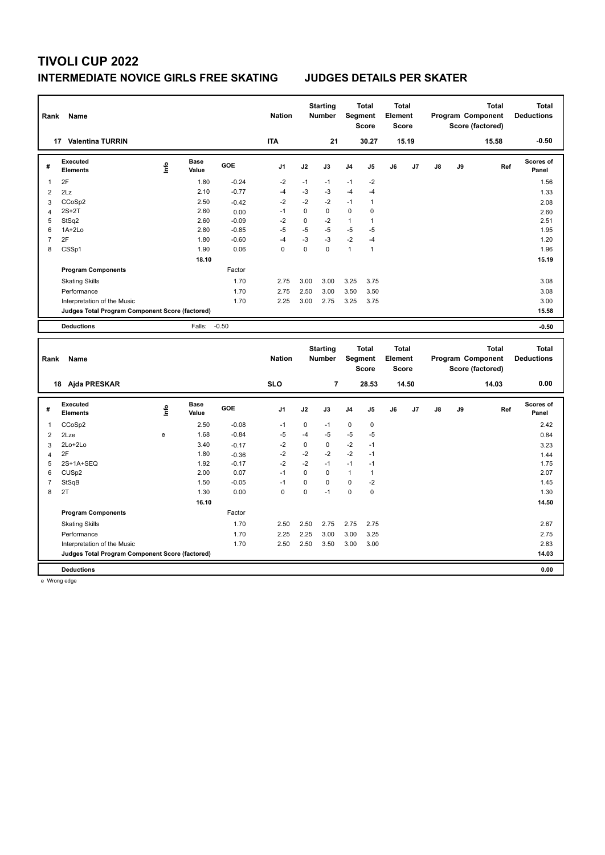## **INTERMEDIATE NOVICE GIRLS FREE SKATING JUDGES DETAILS PER SKATER**

| Rank           | Name                                            |      |                      |         | <b>Nation</b>  |             | <b>Starting</b><br><b>Number</b> |              | <b>Total</b><br>Segment<br><b>Score</b> | <b>Total</b><br>Element<br><b>Score</b> |       |    |    | <b>Total</b><br>Program Component<br>Score (factored) | <b>Total</b><br><b>Deductions</b> |
|----------------|-------------------------------------------------|------|----------------------|---------|----------------|-------------|----------------------------------|--------------|-----------------------------------------|-----------------------------------------|-------|----|----|-------------------------------------------------------|-----------------------------------|
|                | 17 Valentina TURRIN                             |      |                      |         | <b>ITA</b>     |             | 21                               |              | 30.27                                   |                                         | 15.19 |    |    | 15.58                                                 | $-0.50$                           |
| #              | <b>Executed</b><br><b>Elements</b>              | lnfo | <b>Base</b><br>Value | GOE     | J <sub>1</sub> | J2          | J3                               | J4           | J5                                      | J6                                      | J7    | J8 | J9 | Ref                                                   | Scores of<br>Panel                |
| 1              | 2F                                              |      | 1.80                 | $-0.24$ | $-2$           | $-1$        | $-1$                             | $-1$         | $-2$                                    |                                         |       |    |    |                                                       | 1.56                              |
| $\overline{2}$ | 2Lz                                             |      | 2.10                 | $-0.77$ | $-4$           | $-3$        | $-3$                             | $-4$         | $-4$                                    |                                         |       |    |    |                                                       | 1.33                              |
| 3              | CCoSp2                                          |      | 2.50                 | $-0.42$ | $-2$           | $-2$        | $-2$                             | $-1$         | $\mathbf{1}$                            |                                         |       |    |    |                                                       | 2.08                              |
| $\overline{4}$ | $2S+2T$                                         |      | 2.60                 | 0.00    | $-1$           | $\pmb{0}$   | 0                                | 0            | 0                                       |                                         |       |    |    |                                                       | 2.60                              |
| 5              | StSq2                                           |      | 2.60                 | $-0.09$ | $-2$           | $\mathbf 0$ | $-2$                             | $\mathbf{1}$ | $\mathbf{1}$                            |                                         |       |    |    |                                                       | 2.51                              |
| 6              | $1A+2Lo$                                        |      | 2.80                 | $-0.85$ | $-5$           | $-5$        | $-5$                             | $-5$         | $-5$                                    |                                         |       |    |    |                                                       | 1.95                              |
| $\overline{7}$ | 2F                                              |      | 1.80                 | $-0.60$ | $-4$           | $-3$        | -3                               | $-2$         | -4                                      |                                         |       |    |    |                                                       | 1.20                              |
| 8              | CSSp1                                           |      | 1.90                 | 0.06    | $\mathbf 0$    | $\mathbf 0$ | $\mathbf 0$                      | $\mathbf{1}$ | $\mathbf{1}$                            |                                         |       |    |    |                                                       | 1.96                              |
|                |                                                 |      | 18.10                |         |                |             |                                  |              |                                         |                                         |       |    |    |                                                       | 15.19                             |
|                | <b>Program Components</b>                       |      |                      | Factor  |                |             |                                  |              |                                         |                                         |       |    |    |                                                       |                                   |
|                | <b>Skating Skills</b>                           |      |                      | 1.70    | 2.75           | 3.00        | 3.00                             | 3.25         | 3.75                                    |                                         |       |    |    |                                                       | 3.08                              |
|                | Performance                                     |      |                      | 1.70    | 2.75           | 2.50        | 3.00                             | 3.50         | 3.50                                    |                                         |       |    |    |                                                       | 3.08                              |
|                | Interpretation of the Music                     |      |                      | 1.70    | 2.25           | 3.00        | 2.75                             | 3.25         | 3.75                                    |                                         |       |    |    |                                                       | 3.00                              |
|                | Judges Total Program Component Score (factored) |      |                      |         |                |             |                                  |              |                                         |                                         |       |    |    |                                                       | 15.58                             |
|                | <b>Deductions</b>                               |      | Falls:               | $-0.50$ |                |             |                                  |              |                                         |                                         |       |    |    |                                                       | $-0.50$                           |
|                |                                                 |      |                      |         |                |             |                                  |              |                                         |                                         |       |    |    |                                                       |                                   |
|                |                                                 |      |                      |         |                |             |                                  |              |                                         |                                         |       |    |    |                                                       |                                   |
|                |                                                 |      |                      |         |                |             | <b>Starting</b>                  |              | <b>Total</b>                            | <b>Total</b>                            |       |    |    | <b>Total</b>                                          | <b>Total</b>                      |
| Rank           | Name                                            |      |                      |         | <b>Nation</b>  |             | <b>Number</b>                    |              | Segment                                 | Element                                 |       |    |    | Program Component                                     | <b>Deductions</b>                 |
|                |                                                 |      |                      |         |                |             |                                  |              | <b>Score</b>                            | <b>Score</b>                            |       |    |    | Score (factored)                                      |                                   |
|                | 18 Ajda PRESKAR                                 |      |                      |         | <b>SLO</b>     |             | 7                                |              | 28.53                                   |                                         | 14.50 |    |    | 14.03                                                 | 0.00                              |
|                | <b>Executed</b>                                 |      | <b>Base</b>          |         |                |             |                                  |              |                                         |                                         |       |    |    |                                                       | Scores of                         |
| #              | <b>Elements</b>                                 | Life | Value                | GOE     | J1             | J2          | J3                               | J4           | J5                                      | J6                                      | J7    | J8 | J9 | Ref                                                   | Panel                             |
| 1              | CCoSp2                                          |      | 2.50                 | $-0.08$ | $-1$           | $\mathbf 0$ | $-1$                             | $\mathbf 0$  | 0                                       |                                         |       |    |    |                                                       | 2.42                              |
| $\overline{2}$ | 2Lze                                            | e    | 1.68                 | $-0.84$ | $-5$           | $-4$        | -5                               | $-5$         | $-5$                                    |                                         |       |    |    |                                                       | 0.84                              |
| 3              | 2Lo+2Lo                                         |      | 3.40                 | $-0.17$ | $-2$           | $\mathbf 0$ | $\mathbf 0$                      | $-2$         | $-1$                                    |                                         |       |    |    |                                                       | 3.23                              |
| $\overline{4}$ | 2F                                              |      | 1.80                 | $-0.36$ | $-2$           | $-2$        | $-2$                             | $-2$         | $-1$                                    |                                         |       |    |    |                                                       | 1.44                              |
| 5              | 2S+1A+SEQ                                       |      | 1.92                 | $-0.17$ | $-2$           | $-2$        | $-1$                             | $-1$         | $-1$                                    |                                         |       |    |    |                                                       | 1.75                              |
| 6              | CUS <sub>p2</sub>                               |      | 2.00                 | 0.07    | $-1$           | $\mathbf 0$ | $\mathbf 0$                      | $\mathbf{1}$ | $\mathbf{1}$                            |                                         |       |    |    |                                                       | 2.07                              |
| $\overline{7}$ | StSqB                                           |      | 1.50                 | $-0.05$ | $-1$           | $\pmb{0}$   | $\mathbf 0$                      | 0            | $-2$                                    |                                         |       |    |    |                                                       | 1.45                              |
| 8              | 2T                                              |      | 1.30                 | 0.00    | $\mathbf 0$    | $\mathbf 0$ | $-1$                             | $\mathbf 0$  | $\mathbf 0$                             |                                         |       |    |    |                                                       | 1.30                              |
|                |                                                 |      | 16.10                |         |                |             |                                  |              |                                         |                                         |       |    |    |                                                       | 14.50                             |
|                | <b>Program Components</b>                       |      |                      | Factor  |                |             |                                  |              |                                         |                                         |       |    |    |                                                       |                                   |
|                | <b>Skating Skills</b>                           |      |                      | 1.70    | 2.50           | 2.50        | 2.75                             | 2.75         | 2.75                                    |                                         |       |    |    |                                                       | 2.67                              |
|                | Performance                                     |      |                      | 1.70    | 2.25           | 2.25        | 3.00                             | 3.00         | 3.25                                    |                                         |       |    |    |                                                       | 2.75                              |
|                | Interpretation of the Music                     |      |                      | 1.70    | 2.50           | 2.50        | 3.50                             | 3.00         | 3.00                                    |                                         |       |    |    |                                                       | 2.83                              |
|                | Judges Total Program Component Score (factored) |      |                      |         |                |             |                                  |              |                                         |                                         |       |    |    |                                                       | 14.03                             |

e Wrong edge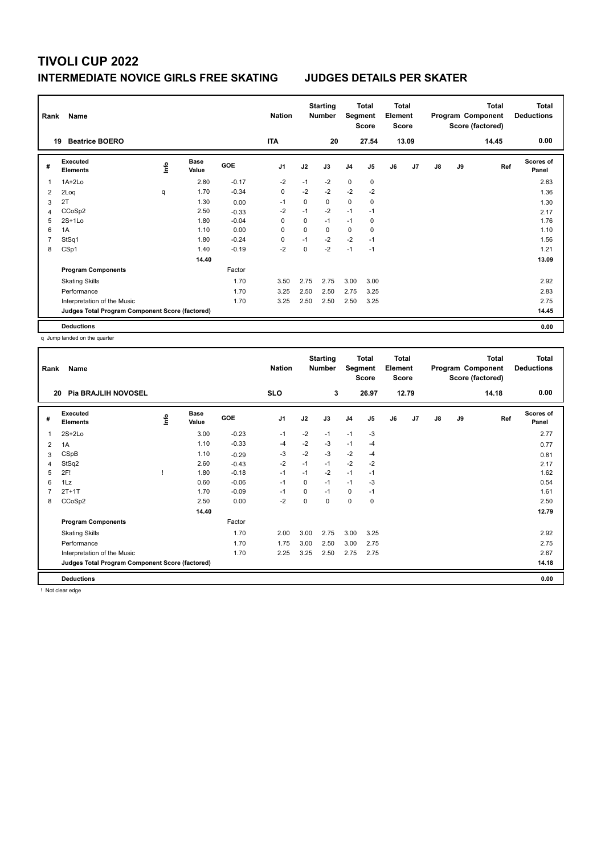## **INTERMEDIATE NOVICE GIRLS FREE SKATING JUDGES DETAILS PER SKATER**

| Rank | Name                                            |      |                      |            | <b>Nation</b>  |             | <b>Starting</b><br><b>Number</b> | Segment        | Total<br><b>Score</b> | <b>Total</b><br>Element<br><b>Score</b> |       |    |    | <b>Total</b><br>Program Component<br>Score (factored) | <b>Total</b><br><b>Deductions</b> |
|------|-------------------------------------------------|------|----------------------|------------|----------------|-------------|----------------------------------|----------------|-----------------------|-----------------------------------------|-------|----|----|-------------------------------------------------------|-----------------------------------|
|      | <b>Beatrice BOERO</b><br>19                     |      |                      |            | <b>ITA</b>     |             | 20                               |                | 27.54                 |                                         | 13.09 |    |    | 14.45                                                 | 0.00                              |
| #    | Executed<br><b>Elements</b>                     | ١nfo | <b>Base</b><br>Value | <b>GOE</b> | J <sub>1</sub> | J2          | J3                               | J <sub>4</sub> | J5                    | J6                                      | J7    | J8 | J9 | Ref                                                   | <b>Scores of</b><br>Panel         |
| 1    | 1A+2Lo                                          |      | 2.80                 | $-0.17$    | $-2$           | $-1$        | $-2$                             | $\mathbf 0$    | $\mathbf 0$           |                                         |       |    |    |                                                       | 2.63                              |
| 2    | 2Loq                                            | q    | 1.70                 | $-0.34$    | $\mathbf 0$    | $-2$        | $-2$                             | $-2$           | $-2$                  |                                         |       |    |    |                                                       | 1.36                              |
| 3    | 2T                                              |      | 1.30                 | 0.00       | $-1$           | 0           | 0                                | 0              | 0                     |                                         |       |    |    |                                                       | 1.30                              |
| 4    | CCoSp2                                          |      | 2.50                 | $-0.33$    | $-2$           | $-1$        | $-2$                             | $-1$           | $-1$                  |                                         |       |    |    |                                                       | 2.17                              |
| 5    | $2S+1Lo$                                        |      | 1.80                 | $-0.04$    | 0              | $\mathbf 0$ | $-1$                             | $-1$           | 0                     |                                         |       |    |    |                                                       | 1.76                              |
| 6    | 1A                                              |      | 1.10                 | 0.00       | 0              | $\Omega$    | $\Omega$                         | 0              | 0                     |                                         |       |    |    |                                                       | 1.10                              |
|      | StSq1                                           |      | 1.80                 | $-0.24$    | 0              | $-1$        | $-2$                             | $-2$           | $-1$                  |                                         |       |    |    |                                                       | 1.56                              |
| 8    | CSp1                                            |      | 1.40                 | $-0.19$    | $-2$           | 0           | $-2$                             | $-1$           | $-1$                  |                                         |       |    |    |                                                       | 1.21                              |
|      |                                                 |      | 14.40                |            |                |             |                                  |                |                       |                                         |       |    |    |                                                       | 13.09                             |
|      | <b>Program Components</b>                       |      |                      | Factor     |                |             |                                  |                |                       |                                         |       |    |    |                                                       |                                   |
|      | <b>Skating Skills</b>                           |      |                      | 1.70       | 3.50           | 2.75        | 2.75                             | 3.00           | 3.00                  |                                         |       |    |    |                                                       | 2.92                              |
|      | Performance                                     |      |                      | 1.70       | 3.25           | 2.50        | 2.50                             | 2.75           | 3.25                  |                                         |       |    |    |                                                       | 2.83                              |
|      | Interpretation of the Music                     |      |                      | 1.70       | 3.25           | 2.50        | 2.50                             | 2.50           | 3.25                  |                                         |       |    |    |                                                       | 2.75                              |
|      | Judges Total Program Component Score (factored) |      |                      |            |                |             |                                  |                |                       |                                         |       |    |    |                                                       | 14.45                             |
|      | <b>Deductions</b>                               |      |                      |            |                |             |                                  |                |                       |                                         |       |    |    |                                                       | 0.00                              |

q Jump landed on the quarter

| Rank | Name                                            |   |                      |         | <b>Nation</b>  |      | <b>Starting</b><br><b>Number</b> | Segment        | <b>Total</b><br><b>Score</b> | <b>Total</b><br>Element<br><b>Score</b> |       |               |    | <b>Total</b><br>Program Component<br>Score (factored) | <b>Total</b><br><b>Deductions</b> |
|------|-------------------------------------------------|---|----------------------|---------|----------------|------|----------------------------------|----------------|------------------------------|-----------------------------------------|-------|---------------|----|-------------------------------------------------------|-----------------------------------|
| 20   | <b>Pia BRAJLIH NOVOSEL</b>                      |   |                      |         | <b>SLO</b>     |      | 3                                |                | 26.97                        |                                         | 12.79 |               |    | 14.18                                                 | 0.00                              |
| #    | Executed<br><b>Elements</b>                     | ۴ | <b>Base</b><br>Value | GOE     | J <sub>1</sub> | J2   | J3                               | J <sub>4</sub> | J5                           | J6                                      | J7    | $\mathsf{J}8$ | J9 | Ref                                                   | <b>Scores of</b><br>Panel         |
| 1    | $2S+2Lo$                                        |   | 3.00                 | $-0.23$ | $-1$           | $-2$ | $-1$                             | $-1$           | $-3$                         |                                         |       |               |    |                                                       | 2.77                              |
| 2    | 1A                                              |   | 1.10                 | $-0.33$ | $-4$           | $-2$ | $-3$                             | $-1$           | $-4$                         |                                         |       |               |    |                                                       | 0.77                              |
| 3    | CSpB                                            |   | 1.10                 | $-0.29$ | $-3$           | $-2$ | $-3$                             | $-2$           | $-4$                         |                                         |       |               |    |                                                       | 0.81                              |
| 4    | StSq2                                           |   | 2.60                 | $-0.43$ | $-2$           | $-1$ | $-1$                             | $-2$           | $-2$                         |                                         |       |               |    |                                                       | 2.17                              |
| 5    | 2F!                                             |   | 1.80                 | $-0.18$ | $-1$           | $-1$ | $-2$                             | $-1$           | $-1$                         |                                         |       |               |    |                                                       | 1.62                              |
| 6    | 1Lz                                             |   | 0.60                 | $-0.06$ | $-1$           | 0    | $-1$                             | $-1$           | $-3$                         |                                         |       |               |    |                                                       | 0.54                              |
| 7    | $2T+1T$                                         |   | 1.70                 | $-0.09$ | $-1$           | 0    | $-1$                             | 0              | $-1$                         |                                         |       |               |    |                                                       | 1.61                              |
| 8    | CCoSp2                                          |   | 2.50                 | 0.00    | $-2$           | 0    | 0                                | 0              | 0                            |                                         |       |               |    |                                                       | 2.50                              |
|      |                                                 |   | 14.40                |         |                |      |                                  |                |                              |                                         |       |               |    |                                                       | 12.79                             |
|      | <b>Program Components</b>                       |   |                      | Factor  |                |      |                                  |                |                              |                                         |       |               |    |                                                       |                                   |
|      | <b>Skating Skills</b>                           |   |                      | 1.70    | 2.00           | 3.00 | 2.75                             | 3.00           | 3.25                         |                                         |       |               |    |                                                       | 2.92                              |
|      | Performance                                     |   |                      | 1.70    | 1.75           | 3.00 | 2.50                             | 3.00           | 2.75                         |                                         |       |               |    |                                                       | 2.75                              |
|      | Interpretation of the Music                     |   |                      | 1.70    | 2.25           | 3.25 | 2.50                             | 2.75           | 2.75                         |                                         |       |               |    |                                                       | 2.67                              |
|      | Judges Total Program Component Score (factored) |   |                      |         |                |      |                                  |                |                              |                                         |       |               |    |                                                       | 14.18                             |
|      | <b>Deductions</b>                               |   |                      |         |                |      |                                  |                |                              |                                         |       |               |    |                                                       | 0.00                              |

! Not clear edge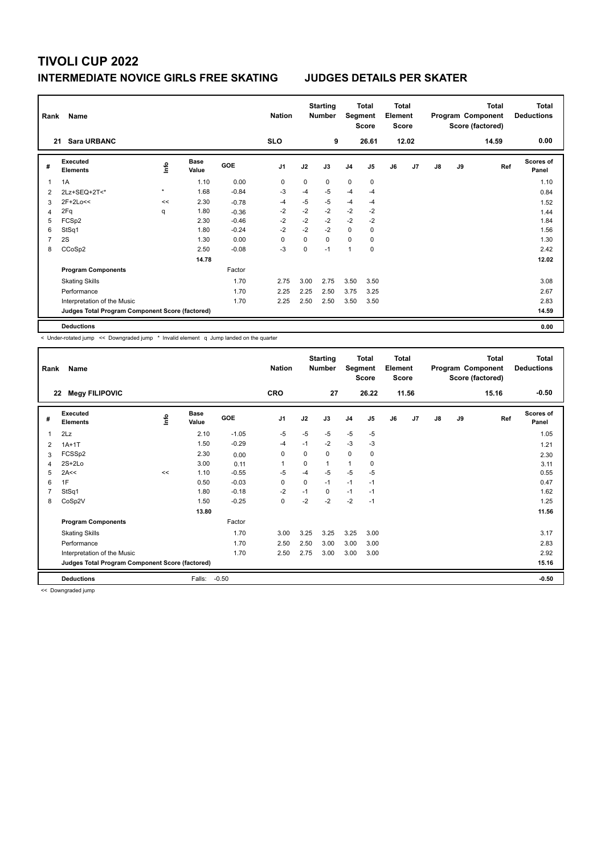## **INTERMEDIATE NOVICE GIRLS FREE SKATING JUDGES DETAILS PER SKATER**

| Rank           | Name                                            |         |                      |            | <b>Nation</b>  |      | <b>Starting</b><br><b>Number</b> | Segment        | Total<br><b>Score</b> | Total<br>Element<br><b>Score</b> |       |               |    | <b>Total</b><br>Program Component<br>Score (factored) | Total<br><b>Deductions</b> |
|----------------|-------------------------------------------------|---------|----------------------|------------|----------------|------|----------------------------------|----------------|-----------------------|----------------------------------|-------|---------------|----|-------------------------------------------------------|----------------------------|
|                | <b>Sara URBANC</b><br>21                        |         |                      |            | <b>SLO</b>     |      | 9                                |                | 26.61                 |                                  | 12.02 |               |    | 14.59                                                 | 0.00                       |
| #              | Executed<br><b>Elements</b>                     | ١nfo    | <b>Base</b><br>Value | <b>GOE</b> | J <sub>1</sub> | J2   | J3                               | J <sub>4</sub> | J5                    | J6                               | J7    | $\mathsf{J}8$ | J9 | Ref                                                   | <b>Scores of</b><br>Panel  |
| 1              | 1A                                              |         | 1.10                 | 0.00       | 0              | 0    | $\Omega$                         | $\mathbf 0$    | $\mathbf 0$           |                                  |       |               |    |                                                       | 1.10                       |
| $\overline{2}$ | 2Lz+SEQ+2T<*                                    | $\star$ | 1.68                 | $-0.84$    | -3             | $-4$ | $-5$                             | $-4$           | $-4$                  |                                  |       |               |    |                                                       | 0.84                       |
| 3              | 2F+2Lo<<                                        | <<      | 2.30                 | $-0.78$    | -4             | $-5$ | $-5$                             | $-4$           | $-4$                  |                                  |       |               |    |                                                       | 1.52                       |
| 4              | 2Fq                                             | q       | 1.80                 | $-0.36$    | $-2$           | $-2$ | $-2$                             | $-2$           | $-2$                  |                                  |       |               |    |                                                       | 1.44                       |
| 5              | FCSp2                                           |         | 2.30                 | $-0.46$    | $-2$           | $-2$ | $-2$                             | $-2$           | $-2$                  |                                  |       |               |    |                                                       | 1.84                       |
| 6              | StSq1                                           |         | 1.80                 | $-0.24$    | $-2$           | $-2$ | $-2$                             | $\mathbf 0$    | 0                     |                                  |       |               |    |                                                       | 1.56                       |
| 7              | 2S                                              |         | 1.30                 | 0.00       | 0              | 0    | 0                                | 0              | 0                     |                                  |       |               |    |                                                       | 1.30                       |
| 8              | CCoSp2                                          |         | 2.50                 | $-0.08$    | $-3$           | 0    | $-1$                             | $\mathbf{1}$   | $\mathbf 0$           |                                  |       |               |    |                                                       | 2.42                       |
|                |                                                 |         | 14.78                |            |                |      |                                  |                |                       |                                  |       |               |    |                                                       | 12.02                      |
|                | <b>Program Components</b>                       |         |                      | Factor     |                |      |                                  |                |                       |                                  |       |               |    |                                                       |                            |
|                | <b>Skating Skills</b>                           |         |                      | 1.70       | 2.75           | 3.00 | 2.75                             | 3.50           | 3.50                  |                                  |       |               |    |                                                       | 3.08                       |
|                | Performance                                     |         |                      | 1.70       | 2.25           | 2.25 | 2.50                             | 3.75           | 3.25                  |                                  |       |               |    |                                                       | 2.67                       |
|                | Interpretation of the Music                     |         |                      | 1.70       | 2.25           | 2.50 | 2.50                             | 3.50           | 3.50                  |                                  |       |               |    |                                                       | 2.83                       |
|                | Judges Total Program Component Score (factored) |         |                      |            |                |      |                                  |                |                       |                                  |       |               |    |                                                       | 14.59                      |
|                | <b>Deductions</b>                               |         |                      |            |                |      |                                  |                |                       |                                  |       |               |    |                                                       | 0.00                       |

< Under-rotated jump << Downgraded jump \* Invalid element q Jump landed on the quarter

| Rank           | Name<br><b>Megy FILIPOVIC</b><br>22             |    |                      |         | <b>Nation</b><br><b>CRO</b> |          | <b>Starting</b><br><b>Number</b><br>27 | Segment        | <b>Total</b><br><b>Score</b><br>26.22 | <b>Total</b><br>Element<br><b>Score</b> | 11.56 |               |    | <b>Total</b><br>Program Component<br>Score (factored)<br>15.16 | <b>Total</b><br><b>Deductions</b><br>$-0.50$ |
|----------------|-------------------------------------------------|----|----------------------|---------|-----------------------------|----------|----------------------------------------|----------------|---------------------------------------|-----------------------------------------|-------|---------------|----|----------------------------------------------------------------|----------------------------------------------|
| #              | Executed<br><b>Elements</b>                     | ۴  | <b>Base</b><br>Value | GOE     | J <sub>1</sub>              | J2       | J3                                     | J <sub>4</sub> | J5                                    | J6                                      | J7    | $\mathsf{J}8$ | J9 | Ref                                                            | <b>Scores of</b><br>Panel                    |
| $\mathbf{1}$   | 2Lz                                             |    | 2.10                 | $-1.05$ | $-5$                        | $-5$     | $-5$                                   | $-5$           | $-5$                                  |                                         |       |               |    |                                                                | 1.05                                         |
| 2              | $1A+1T$                                         |    | 1.50                 | $-0.29$ | $-4$                        | $-1$     | $-2$                                   | $-3$           | $-3$                                  |                                         |       |               |    |                                                                | 1.21                                         |
| 3              | FCSSp2                                          |    | 2.30                 | 0.00    | 0                           | 0        | $\Omega$                               | $\mathbf 0$    | 0                                     |                                         |       |               |    |                                                                | 2.30                                         |
| 4              | $2S+2Lo$                                        |    | 3.00                 | 0.11    | 1                           | $\Omega$ | 1                                      | $\overline{1}$ | 0                                     |                                         |       |               |    |                                                                | 3.11                                         |
| 5              | 2A<<                                            | << | 1.10                 | $-0.55$ | $-5$                        | $-4$     | $-5$                                   | $-5$           | $-5$                                  |                                         |       |               |    |                                                                | 0.55                                         |
| 6              | 1F                                              |    | 0.50                 | $-0.03$ | $\mathbf 0$                 | 0        | $-1$                                   | $-1$           | $-1$                                  |                                         |       |               |    |                                                                | 0.47                                         |
| $\overline{7}$ | StSq1                                           |    | 1.80                 | $-0.18$ | $-2$                        | $-1$     | 0                                      | $-1$           | $-1$                                  |                                         |       |               |    |                                                                | 1.62                                         |
| 8              | CoSp2V                                          |    | 1.50                 | $-0.25$ | $\pmb{0}$                   | $-2$     | $-2$                                   | $-2$           | $-1$                                  |                                         |       |               |    |                                                                | 1.25                                         |
|                |                                                 |    | 13.80                |         |                             |          |                                        |                |                                       |                                         |       |               |    |                                                                | 11.56                                        |
|                | <b>Program Components</b>                       |    |                      | Factor  |                             |          |                                        |                |                                       |                                         |       |               |    |                                                                |                                              |
|                | <b>Skating Skills</b>                           |    |                      | 1.70    | 3.00                        | 3.25     | 3.25                                   | 3.25           | 3.00                                  |                                         |       |               |    |                                                                | 3.17                                         |
|                | Performance                                     |    |                      | 1.70    | 2.50                        | 2.50     | 3.00                                   | 3.00           | 3.00                                  |                                         |       |               |    |                                                                | 2.83                                         |
|                | Interpretation of the Music                     |    |                      | 1.70    | 2.50                        | 2.75     | 3.00                                   | 3.00           | 3.00                                  |                                         |       |               |    |                                                                | 2.92                                         |
|                | Judges Total Program Component Score (factored) |    |                      |         |                             |          |                                        |                |                                       |                                         |       |               |    |                                                                | 15.16                                        |
|                | <b>Deductions</b>                               |    | Falls:               | $-0.50$ |                             |          |                                        |                |                                       |                                         |       |               |    |                                                                | $-0.50$                                      |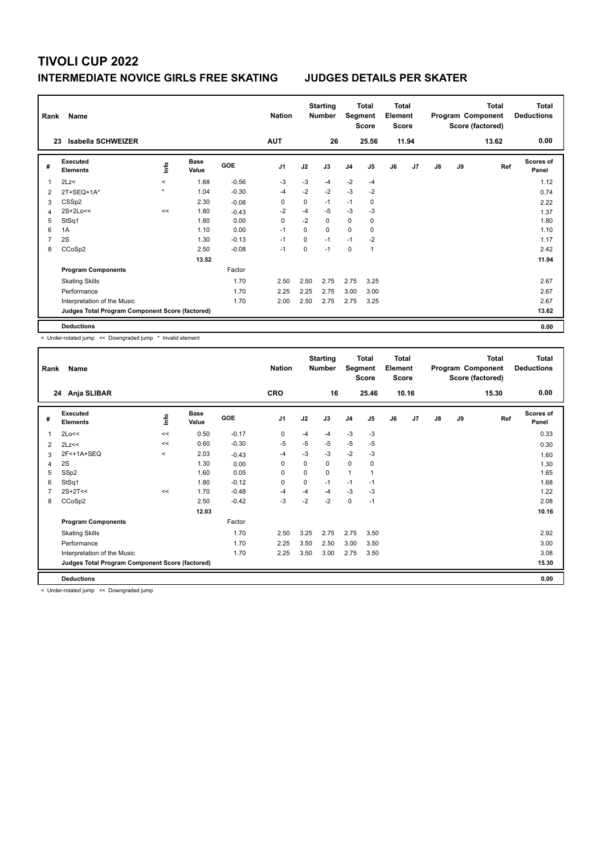## **INTERMEDIATE NOVICE GIRLS FREE SKATING JUDGES DETAILS PER SKATER**

| Rank           | Name                                            |             |                      |         | <b>Nation</b>  |      | <b>Starting</b><br><b>Number</b> | Segment        | Total<br><b>Score</b> | <b>Total</b><br>Element<br>Score |                |    |    | <b>Total</b><br>Program Component<br>Score (factored) | Total<br><b>Deductions</b> |
|----------------|-------------------------------------------------|-------------|----------------------|---------|----------------|------|----------------------------------|----------------|-----------------------|----------------------------------|----------------|----|----|-------------------------------------------------------|----------------------------|
|                | Isabella SCHWEIZER<br>23                        |             |                      |         | <b>AUT</b>     |      | 26                               |                | 25.56                 |                                  | 11.94          |    |    | 13.62                                                 | 0.00                       |
| #              | Executed<br><b>Elements</b>                     | <u>info</u> | <b>Base</b><br>Value | GOE     | J <sub>1</sub> | J2   | J3                               | J <sub>4</sub> | J <sub>5</sub>        | J6                               | J <sub>7</sub> | J8 | J9 | Ref                                                   | <b>Scores of</b><br>Panel  |
| 1              | 2Lz<                                            | $\prec$     | 1.68                 | $-0.56$ | $-3$           | $-3$ | $-4$                             | $-2$           | $-4$                  |                                  |                |    |    |                                                       | 1.12                       |
| $\overline{2}$ | $2T+SEQ+1A*$                                    | $\star$     | 1.04                 | $-0.30$ | -4             | $-2$ | $-2$                             | $-3$           | $-2$                  |                                  |                |    |    |                                                       | 0.74                       |
| 3              | CSS <sub>p2</sub>                               |             | 2.30                 | $-0.08$ | 0              | 0    | $-1$                             | $-1$           | 0                     |                                  |                |    |    |                                                       | 2.22                       |
| 4              | 2S+2Lo<<                                        | <<          | 1.80                 | $-0.43$ | $-2$           | $-4$ | $-5$                             | $-3$           | -3                    |                                  |                |    |    |                                                       | 1.37                       |
| 5              | StSq1                                           |             | 1.80                 | 0.00    | 0              | $-2$ | $\Omega$                         | $\mathbf 0$    | 0                     |                                  |                |    |    |                                                       | 1.80                       |
| 6              | 1A                                              |             | 1.10                 | 0.00    | $-1$           | 0    | $\Omega$                         | $\Omega$       | 0                     |                                  |                |    |    |                                                       | 1.10                       |
| 7              | 2S                                              |             | 1.30                 | $-0.13$ | $-1$           | 0    | $-1$                             | $-1$           | $-2$                  |                                  |                |    |    |                                                       | 1.17                       |
| 8              | CCoSp2                                          |             | 2.50                 | $-0.08$ | $-1$           | 0    | $-1$                             | 0              | $\mathbf{1}$          |                                  |                |    |    |                                                       | 2.42                       |
|                |                                                 |             | 13.52                |         |                |      |                                  |                |                       |                                  |                |    |    |                                                       | 11.94                      |
|                | <b>Program Components</b>                       |             |                      | Factor  |                |      |                                  |                |                       |                                  |                |    |    |                                                       |                            |
|                | <b>Skating Skills</b>                           |             |                      | 1.70    | 2.50           | 2.50 | 2.75                             | 2.75           | 3.25                  |                                  |                |    |    |                                                       | 2.67                       |
|                | Performance                                     |             |                      | 1.70    | 2.25           | 2.25 | 2.75                             | 3.00           | 3.00                  |                                  |                |    |    |                                                       | 2.67                       |
|                | Interpretation of the Music                     |             |                      | 1.70    | 2.00           | 2.50 | 2.75                             | 2.75           | 3.25                  |                                  |                |    |    |                                                       | 2.67                       |
|                | Judges Total Program Component Score (factored) |             |                      |         |                |      |                                  |                |                       |                                  |                |    |    |                                                       | 13.62                      |
|                | <b>Deductions</b>                               |             |                      |         |                |      |                                  |                |                       |                                  |                |    |    |                                                       | 0.00                       |

< Under-rotated jump << Downgraded jump \* Invalid element

| Rank | Name                                            |         |                      |            | <b>Nation</b>  |      | <b>Starting</b><br><b>Number</b> | Segment        | <b>Total</b><br><b>Score</b> | Total<br>Element<br><b>Score</b> |       |               |    | <b>Total</b><br>Program Component<br>Score (factored) | Total<br><b>Deductions</b> |
|------|-------------------------------------------------|---------|----------------------|------------|----------------|------|----------------------------------|----------------|------------------------------|----------------------------------|-------|---------------|----|-------------------------------------------------------|----------------------------|
|      | 24 Anja SLIBAR                                  |         |                      |            | <b>CRO</b>     |      | 16                               |                | 25.46                        |                                  | 10.16 |               |    | 15.30                                                 | 0.00                       |
| #    | Executed<br><b>Elements</b>                     | ۴       | <b>Base</b><br>Value | <b>GOE</b> | J <sub>1</sub> | J2   | J3                               | J <sub>4</sub> | J5                           | J6                               | J7    | $\mathsf{J}8$ | J9 | Ref                                                   | <b>Scores of</b><br>Panel  |
| 1    | 2Lo<<                                           | <<      | 0.50                 | $-0.17$    | 0              | $-4$ | $-4$                             | $-3$           | $-3$                         |                                  |       |               |    |                                                       | 0.33                       |
| 2    | 2Lz<<                                           | <<      | 0.60                 | $-0.30$    | $-5$           | $-5$ | -5                               | $-5$           | $-5$                         |                                  |       |               |    |                                                       | 0.30                       |
| 3    | 2F<+1A+SEQ                                      | $\prec$ | 2.03                 | $-0.43$    | $-4$           | $-3$ | $-3$                             | $-2$           | $-3$                         |                                  |       |               |    |                                                       | 1.60                       |
| 4    | 2S                                              |         | 1.30                 | 0.00       | 0              | 0    | $\mathbf 0$                      | $\mathbf 0$    | 0                            |                                  |       |               |    |                                                       | 1.30                       |
| 5    | SSp2                                            |         | 1.60                 | 0.05       | $\Omega$       | 0    | $\Omega$                         | $\mathbf{1}$   | 1                            |                                  |       |               |    |                                                       | 1.65                       |
| 6    | StSq1                                           |         | 1.80                 | $-0.12$    | 0              | 0    | $-1$                             | $-1$           | $-1$                         |                                  |       |               |    |                                                       | 1.68                       |
| 7    | $2S+2T<<$                                       | <<      | 1.70                 | $-0.48$    | $-4$           | $-4$ | $-4$                             | $-3$           | $-3$                         |                                  |       |               |    |                                                       | 1.22                       |
| 8    | CCoSp2                                          |         | 2.50                 | $-0.42$    | $-3$           | $-2$ | $-2$                             | $\mathbf 0$    | $-1$                         |                                  |       |               |    |                                                       | 2.08                       |
|      |                                                 |         | 12.03                |            |                |      |                                  |                |                              |                                  |       |               |    |                                                       | 10.16                      |
|      | <b>Program Components</b>                       |         |                      | Factor     |                |      |                                  |                |                              |                                  |       |               |    |                                                       |                            |
|      | <b>Skating Skills</b>                           |         |                      | 1.70       | 2.50           | 3.25 | 2.75                             | 2.75           | 3.50                         |                                  |       |               |    |                                                       | 2.92                       |
|      | Performance                                     |         |                      | 1.70       | 2.25           | 3.50 | 2.50                             | 3.00           | 3.50                         |                                  |       |               |    |                                                       | 3.00                       |
|      | Interpretation of the Music                     |         |                      | 1.70       | 2.25           | 3.50 | 3.00                             | 2.75           | 3.50                         |                                  |       |               |    |                                                       | 3.08                       |
|      | Judges Total Program Component Score (factored) |         |                      |            |                |      |                                  |                |                              |                                  |       |               |    |                                                       | 15.30                      |
|      | <b>Deductions</b>                               |         |                      |            |                |      |                                  |                |                              |                                  |       |               |    |                                                       | 0.00                       |

< Under-rotated jump << Downgraded jump